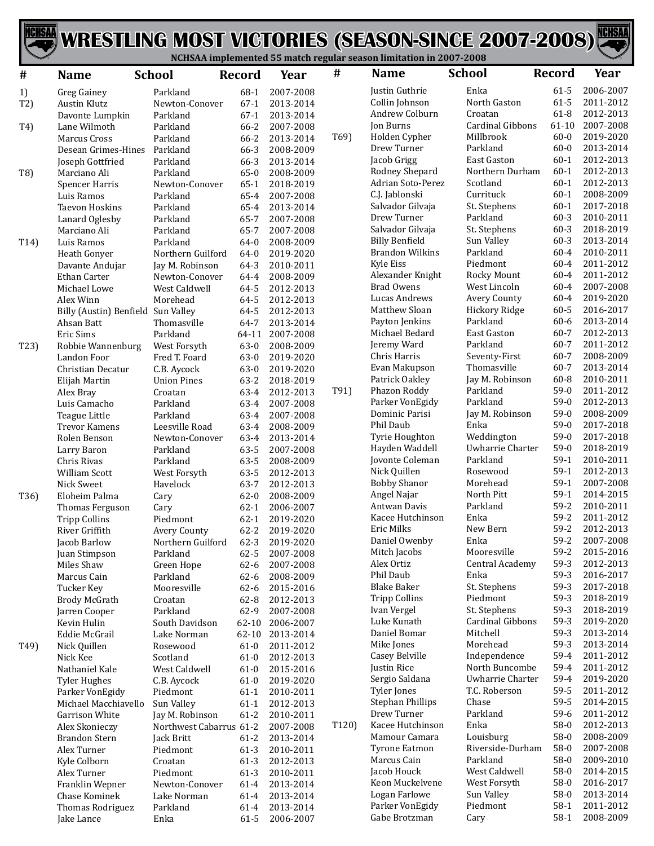



| Enka<br>$61 - 5$<br>2006-2007<br>Justin Guthrie<br>Parkland<br>$68-1$<br>2007-2008<br>1)<br><b>Greg Gainey</b><br>2011-2012<br>Collin Johnson<br>North Gaston<br>$61 - 5$<br>$67-1$<br>2013-2014<br>T2)<br><b>Austin Klutz</b><br>Newton-Conover<br>$61 - 8$<br>2012-2013<br>Andrew Colburn<br>Croatan<br>Parkland<br>$67-1$<br>2013-2014<br>Davonte Lumpkin<br>Cardinal Gibbons<br>2007-2008<br>Jon Burns<br>$61 - 10$<br>66-2<br>2007-2008<br>T4)<br>Lane Wilmoth<br>Parkland<br>T <sub>69</sub> )<br>Holden Cypher<br>Millbrook<br>$60 - 0$<br>2019-2020<br>Parkland<br>66-2<br>2013-2014<br>Marcus Cross<br>$60 - 0$<br>2013-2014<br>Drew Turner<br>Parkland<br>Desean Grimes-Hines<br>Parkland<br>66-3<br>2008-2009<br>2012-2013<br>Jacob Grigg<br><b>East Gaston</b><br>$60-1$<br>66-3<br>Joseph Gottfried<br>Parkland<br>2013-2014<br>$60 - 1$<br>2012-2013<br>Rodney Shepard<br>Northern Durham<br>T8)<br>Parkland<br>$65-0$<br>2008-2009<br>Marciano Ali<br>$60 - 1$<br>2012-2013<br>Adrian Soto-Perez<br>Scotland<br>$65-1$<br>2018-2019<br>Spencer Harris<br>Newton-Conover<br>C.J. Jablonski<br>Currituck<br>$60-1$<br>2008-2009<br>Parkland<br>65-4<br>2007-2008<br>Luis Ramos<br>2017-2018<br>Salvador Gilvaja<br>St. Stephens<br>$60 - 1$<br>Taevon Hoskins<br>Parkland<br>65-4<br>2013-2014<br>Drew Turner<br>Parkland<br>$60 - 3$<br>2010-2011<br>65-7<br>Lanard Oglesby<br>Parkland<br>2007-2008<br>$60 - 3$<br>2018-2019<br>Salvador Gilvaja<br>St. Stephens<br>65-7<br>2007-2008<br>Marciano Ali<br>Parkland<br>$60 - 3$<br>2013-2014<br><b>Billy Benfield</b><br>Sun Valley<br>$64 - 0$<br>T14)<br>Luis Ramos<br>Parkland<br>2008-2009<br><b>Brandon Wilkins</b><br>Parkland<br>$60 - 4$<br>2010-2011<br>64-0<br>2019-2020<br>Heath Gonyer<br>Northern Guilford<br>Piedmont<br>$60 - 4$<br>2011-2012<br>Kyle Eiss<br>Davante Andujar<br>Jay M. Robinson<br>64-3<br>2010-2011<br>2011-2012<br>$60 - 4$<br>Alexander Knight<br>Rocky Mount<br>$64 - 4$<br>2008-2009<br>Ethan Carter<br>Newton-Conover<br>$60 - 4$<br>2007-2008<br><b>Brad Owens</b><br>West Lincoln<br>Michael Lowe<br>West Caldwell<br>64-5<br>2012-2013<br>$60 - 4$<br>2019-2020<br>Lucas Andrews<br>Avery County<br>64-5<br>2012-2013<br>Alex Winn<br>Morehead<br>Matthew Sloan<br>Hickory Ridge<br>$60 - 5$<br>2016-2017<br>64-5<br>2012-2013<br>Billy (Austin) Benfield Sun Valley<br>Parkland<br>2013-2014<br>$60 - 6$<br>Payton Jenkins<br>Ahsan Batt<br>Thomasville<br>64-7<br>2013-2014<br>Michael Bedard<br>East Gaston<br>$60 - 7$<br>2012-2013<br>Parkland<br>2007-2008<br>Eric Sims<br>64-11<br>$60 - 7$<br>2011-2012<br>Parkland<br>Jeremy Ward<br>$63-0$<br>2008-2009<br>T23)<br>Robbie Wannenburg<br>West Forsyth<br>$60 - 7$<br>2008-2009<br>Chris Harris<br>Seventy-First<br>$63 - 0$<br>Landon Foor<br>Fred T. Foard<br>2019-2020<br>Evan Makupson<br>Thomasville<br>$60 - 7$<br>2013-2014<br>$63 - 0$<br>2019-2020<br>Christian Decatur<br>C.B. Aycock<br>60-8<br>2010-2011<br>Patrick Oakley<br>Jay M. Robinson<br><b>Union Pines</b><br>$63 - 2$<br>2018-2019<br>Elijah Martin<br>$59-0$<br>2011-2012<br>T91)<br>Phazon Roddy<br>Parkland<br>$63 - 4$<br>Croatan<br>2012-2013<br>Alex Bray<br>Parkland<br>$59-0$<br>2012-2013<br>Parker VonEgidy<br>$63 - 4$<br>2007-2008<br>Luis Camacho<br>Parkland<br>$59-0$<br>2008-2009<br>Dominic Parisi<br>Jay M. Robinson<br>Parkland<br>$63 - 4$<br>2007-2008<br>Teague Little<br>Enka<br>$59-0$<br>Phil Daub<br>2017-2018<br>63-4<br>Leesville Road<br>2008-2009<br><b>Trevor Kamens</b><br>$59-0$<br>2017-2018<br>Tyrie Houghton<br>Weddington<br>63-4<br>Rolen Benson<br>Newton-Conover<br>2013-2014<br>$59-0$<br>Hayden Waddell<br>Uwharrie Charter<br>2018-2019<br>$63 - 5$<br>2007-2008<br>Parkland<br>Larry Baron<br>$59-1$<br>2010-2011<br>Jovonte Coleman<br>Parkland<br>Chris Rivas<br>$63 - 5$<br>2008-2009<br>Parkland<br>$59-1$<br>2012-2013<br>Nick Quillen<br>Rosewood<br>63-5<br><b>William Scott</b><br>West Forsyth<br>2012-2013<br><b>Bobby Shanor</b><br>Morehead<br>$59-1$<br>2007-2008<br>63-7<br>2012-2013<br>Nick Sweet<br>Havelock<br>$59-1$<br>2014-2015<br>Angel Najar<br>North Pitt<br>T36)<br>Eloheim Palma<br>$62 - 0$<br>2008-2009<br>Cary<br>$59 - 2$<br>2010-2011<br>Antwan Davis<br>Parkland<br>$62 - 1$<br>2006-2007<br>Thomas Ferguson<br>Cary<br>Enka<br>$59 - 2$<br>2011-2012<br>Kacee Hutchinson<br>$62 - 1$<br>2019-2020<br><b>Tripp Collins</b><br>Piedmont<br>59-2<br>Eric Milks<br>2012-2013<br>New Bern<br>$62 - 2$<br>River Griffith<br>2019-2020<br><b>Avery County</b><br>$59-2$<br>2007-2008<br>Daniel Owenby<br>Enka<br>$62 - 3$<br>2019-2020<br>Jacob Barlow<br>Northern Guilford<br>Mitch Jacobs<br>Mooresville<br>$59 - 2$<br>2015-2016<br>$62 - 5$<br>Juan Stimpson<br>Parkland<br>2007-2008<br>59-3<br>Alex Ortiz<br>Central Academy<br>2012-2013<br>$62 - 6$<br>Miles Shaw<br>Green Hope<br>2007-2008<br>59-3<br>Phil Daub<br>Enka<br>2016-2017<br>Marcus Cain<br>Parkland<br>$62 - 6$<br>2008-2009<br>59-3<br><b>Blake Baker</b><br>St. Stephens<br>2017-2018<br>Mooresville<br>$62 - 6$<br>Tucker Key<br>2015-2016<br><b>Tripp Collins</b><br>Piedmont<br>59-3<br>2018-2019<br>$62 - 8$<br><b>Brody McGrath</b><br>Croatan<br>2012-2013<br>59-3<br>Ivan Vergel<br>St. Stephens<br>2018-2019<br>Jarren Cooper<br>Parkland<br>62-9<br>2007-2008<br>Luke Kunath<br>Cardinal Gibbons<br>59-3<br>2019-2020<br>Kevin Hulin<br>South Davidson<br>62-10<br>2006-2007<br>59-3<br>Daniel Bomar<br>Mitchell<br>2013-2014<br>Eddie McGrail<br>Lake Norman<br>62-10<br>2013-2014<br>59-3<br>Mike Jones<br>Morehead<br>2013-2014<br>T <sub>49</sub> )<br>Nick Quillen<br>Rosewood<br>$61-0$<br>2011-2012<br>Casey Belville<br>Independence<br>59-4<br>2011-2012<br>Scotland<br>Nick Kee<br>$61-0$<br>2012-2013<br>North Buncombe<br>59-4<br>Justin Rice<br>2011-2012<br>Nathaniel Kale<br>West Caldwell<br>2015-2016<br>$61-0$<br>Sergio Saldana<br>Uwharrie Charter<br>59-4<br>2019-2020<br>C.B. Aycock<br>$61-0$<br>2019-2020<br><b>Tyler Hughes</b><br>59-5<br>Tyler Jones<br>T.C. Roberson<br>2011-2012<br>Parker VonEgidy<br>Piedmont<br>$61-1$<br>2010-2011<br>Chase<br>59-5<br><b>Stephan Phillips</b><br>2014-2015<br>Sun Valley<br>$61 - 1$<br>Michael Macchiavello<br>2012-2013<br>Drew Turner<br>Parkland<br>59-6<br>2011-2012<br>$61 - 2$<br>Garrison White<br>Jay M. Robinson<br>2010-2011<br>Enka<br>Kacee Hutchinson<br>58-0<br>2012-2013<br>T <sub>120</sub> )<br>Northwest Cabarrus 61-2<br>2007-2008<br>Alex Skonieczy<br>Mamour Camara<br>Louisburg<br>58-0<br>2008-2009<br><b>Brandon Stern</b><br>Jack Britt<br>$61 - 2$<br>2013-2014<br>$58-0$<br><b>Tyrone Eatmon</b><br>Riverside-Durham<br>2007-2008<br>Alex Turner<br>Piedmont<br>$61-3$<br>2010-2011<br>$58-0$<br>Marcus Cain<br>Parkland<br>2009-2010<br>Kyle Colborn<br>Croatan<br>$61-3$<br>2012-2013<br>Jacob Houck<br>West Caldwell<br>58-0<br>2014-2015<br>Alex Turner<br>Piedmont<br>$61-3$<br>2010-2011<br>Keon Muckelvene<br>West Forsyth<br>58-0<br>2016-2017<br>Franklin Wepner<br>Newton-Conover<br>$61-4$<br>2013-2014<br>Logan Farlowe<br>Sun Valley<br>58-0<br>2013-2014<br>Chase Kominek<br>Lake Norman<br>$61-4$<br>2013-2014<br>Piedmont<br>Parker VonEgidy<br>$58-1$<br>2011-2012<br>Thomas Rodriguez<br>Parkland<br>$61-4$<br>2013-2014<br>$58-1$<br>2008-2009<br>Gabe Brotzman<br>Cary<br>Enka<br>$61-5$<br>2006-2007 | # | <b>Name</b> | <b>School</b> | <b>Record</b> | Year | # | <b>Name</b> | <b>School</b> | <b>Record</b> | Year |
|--------------------------------------------------------------------------------------------------------------------------------------------------------------------------------------------------------------------------------------------------------------------------------------------------------------------------------------------------------------------------------------------------------------------------------------------------------------------------------------------------------------------------------------------------------------------------------------------------------------------------------------------------------------------------------------------------------------------------------------------------------------------------------------------------------------------------------------------------------------------------------------------------------------------------------------------------------------------------------------------------------------------------------------------------------------------------------------------------------------------------------------------------------------------------------------------------------------------------------------------------------------------------------------------------------------------------------------------------------------------------------------------------------------------------------------------------------------------------------------------------------------------------------------------------------------------------------------------------------------------------------------------------------------------------------------------------------------------------------------------------------------------------------------------------------------------------------------------------------------------------------------------------------------------------------------------------------------------------------------------------------------------------------------------------------------------------------------------------------------------------------------------------------------------------------------------------------------------------------------------------------------------------------------------------------------------------------------------------------------------------------------------------------------------------------------------------------------------------------------------------------------------------------------------------------------------------------------------------------------------------------------------------------------------------------------------------------------------------------------------------------------------------------------------------------------------------------------------------------------------------------------------------------------------------------------------------------------------------------------------------------------------------------------------------------------------------------------------------------------------------------------------------------------------------------------------------------------------------------------------------------------------------------------------------------------------------------------------------------------------------------------------------------------------------------------------------------------------------------------------------------------------------------------------------------------------------------------------------------------------------------------------------------------------------------------------------------------------------------------------------------------------------------------------------------------------------------------------------------------------------------------------------------------------------------------------------------------------------------------------------------------------------------------------------------------------------------------------------------------------------------------------------------------------------------------------------------------------------------------------------------------------------------------------------------------------------------------------------------------------------------------------------------------------------------------------------------------------------------------------------------------------------------------------------------------------------------------------------------------------------------------------------------------------------------------------------------------------------------------------------------------------------------------------------------------------------------------------------------------------------------------------------------------------------------------------------------------------------------------------------------------------------------------------------------------------------------------------------------------------------------------------------------------------------------------------------------------------------------------------------------------------------------------------------------------------------------------------------------------------------------------------------------------------------------------------------------------------------------------------------------------------------------------------------------------------------------------------------------------------------------------------------------------------------------------------------------------------------------------------------------------------------------------------------------------------------------------------------------------------------------------------------------------------------------------------------------------------------------------------------------------------------------------------------------------------------------------------------------------------------------------------------------------------------------------------------------------------------------------------------------------------------------------------------------------------------------------------------------------------------------------------------------------------------------------------------------------------------------------------------------------------------------------------------------------------------------------------------------------------------------------------------------------------------------------------------------------------------------------------------------------------------------------------------------------------------------------------------------------------------------------------------------------------------------------------------------------------------------------------------------------------------------------------------------------------------------------------------------------------------------------------------------------------------------------------------------------------------------------------------------------------------------------------------------------------------------------------------------------------------------------------------------------------|---|-------------|---------------|---------------|------|---|-------------|---------------|---------------|------|
|                                                                                                                                                                                                                                                                                                                                                                                                                                                                                                                                                                                                                                                                                                                                                                                                                                                                                                                                                                                                                                                                                                                                                                                                                                                                                                                                                                                                                                                                                                                                                                                                                                                                                                                                                                                                                                                                                                                                                                                                                                                                                                                                                                                                                                                                                                                                                                                                                                                                                                                                                                                                                                                                                                                                                                                                                                                                                                                                                                                                                                                                                                                                                                                                                                                                                                                                                                                                                                                                                                                                                                                                                                                                                                                                                                                                                                                                                                                                                                                                                                                                                                                                                                                                                                                                                                                                                                                                                                                                                                                                                                                                                                                                                                                                                                                                                                                                                                                                                                                                                                                                                                                                                                                                                                                                                                                                                                                                                                                                                                                                                                                                                                                                                                                                                                                                                                                                                                                                                                                                                                                                                                                                                                                                                                                                                                                                                                                                                                                                                                                                                                                                                                                                                                                                                                                                                                                                                                                                                                                                                                                                                                                                                                                                                                                                                                                                                                                                                    |   |             |               |               |      |   |             |               |               |      |
|                                                                                                                                                                                                                                                                                                                                                                                                                                                                                                                                                                                                                                                                                                                                                                                                                                                                                                                                                                                                                                                                                                                                                                                                                                                                                                                                                                                                                                                                                                                                                                                                                                                                                                                                                                                                                                                                                                                                                                                                                                                                                                                                                                                                                                                                                                                                                                                                                                                                                                                                                                                                                                                                                                                                                                                                                                                                                                                                                                                                                                                                                                                                                                                                                                                                                                                                                                                                                                                                                                                                                                                                                                                                                                                                                                                                                                                                                                                                                                                                                                                                                                                                                                                                                                                                                                                                                                                                                                                                                                                                                                                                                                                                                                                                                                                                                                                                                                                                                                                                                                                                                                                                                                                                                                                                                                                                                                                                                                                                                                                                                                                                                                                                                                                                                                                                                                                                                                                                                                                                                                                                                                                                                                                                                                                                                                                                                                                                                                                                                                                                                                                                                                                                                                                                                                                                                                                                                                                                                                                                                                                                                                                                                                                                                                                                                                                                                                                                                    |   |             |               |               |      |   |             |               |               |      |
|                                                                                                                                                                                                                                                                                                                                                                                                                                                                                                                                                                                                                                                                                                                                                                                                                                                                                                                                                                                                                                                                                                                                                                                                                                                                                                                                                                                                                                                                                                                                                                                                                                                                                                                                                                                                                                                                                                                                                                                                                                                                                                                                                                                                                                                                                                                                                                                                                                                                                                                                                                                                                                                                                                                                                                                                                                                                                                                                                                                                                                                                                                                                                                                                                                                                                                                                                                                                                                                                                                                                                                                                                                                                                                                                                                                                                                                                                                                                                                                                                                                                                                                                                                                                                                                                                                                                                                                                                                                                                                                                                                                                                                                                                                                                                                                                                                                                                                                                                                                                                                                                                                                                                                                                                                                                                                                                                                                                                                                                                                                                                                                                                                                                                                                                                                                                                                                                                                                                                                                                                                                                                                                                                                                                                                                                                                                                                                                                                                                                                                                                                                                                                                                                                                                                                                                                                                                                                                                                                                                                                                                                                                                                                                                                                                                                                                                                                                                                                    |   |             |               |               |      |   |             |               |               |      |
|                                                                                                                                                                                                                                                                                                                                                                                                                                                                                                                                                                                                                                                                                                                                                                                                                                                                                                                                                                                                                                                                                                                                                                                                                                                                                                                                                                                                                                                                                                                                                                                                                                                                                                                                                                                                                                                                                                                                                                                                                                                                                                                                                                                                                                                                                                                                                                                                                                                                                                                                                                                                                                                                                                                                                                                                                                                                                                                                                                                                                                                                                                                                                                                                                                                                                                                                                                                                                                                                                                                                                                                                                                                                                                                                                                                                                                                                                                                                                                                                                                                                                                                                                                                                                                                                                                                                                                                                                                                                                                                                                                                                                                                                                                                                                                                                                                                                                                                                                                                                                                                                                                                                                                                                                                                                                                                                                                                                                                                                                                                                                                                                                                                                                                                                                                                                                                                                                                                                                                                                                                                                                                                                                                                                                                                                                                                                                                                                                                                                                                                                                                                                                                                                                                                                                                                                                                                                                                                                                                                                                                                                                                                                                                                                                                                                                                                                                                                                                    |   |             |               |               |      |   |             |               |               |      |
|                                                                                                                                                                                                                                                                                                                                                                                                                                                                                                                                                                                                                                                                                                                                                                                                                                                                                                                                                                                                                                                                                                                                                                                                                                                                                                                                                                                                                                                                                                                                                                                                                                                                                                                                                                                                                                                                                                                                                                                                                                                                                                                                                                                                                                                                                                                                                                                                                                                                                                                                                                                                                                                                                                                                                                                                                                                                                                                                                                                                                                                                                                                                                                                                                                                                                                                                                                                                                                                                                                                                                                                                                                                                                                                                                                                                                                                                                                                                                                                                                                                                                                                                                                                                                                                                                                                                                                                                                                                                                                                                                                                                                                                                                                                                                                                                                                                                                                                                                                                                                                                                                                                                                                                                                                                                                                                                                                                                                                                                                                                                                                                                                                                                                                                                                                                                                                                                                                                                                                                                                                                                                                                                                                                                                                                                                                                                                                                                                                                                                                                                                                                                                                                                                                                                                                                                                                                                                                                                                                                                                                                                                                                                                                                                                                                                                                                                                                                                                    |   |             |               |               |      |   |             |               |               |      |
|                                                                                                                                                                                                                                                                                                                                                                                                                                                                                                                                                                                                                                                                                                                                                                                                                                                                                                                                                                                                                                                                                                                                                                                                                                                                                                                                                                                                                                                                                                                                                                                                                                                                                                                                                                                                                                                                                                                                                                                                                                                                                                                                                                                                                                                                                                                                                                                                                                                                                                                                                                                                                                                                                                                                                                                                                                                                                                                                                                                                                                                                                                                                                                                                                                                                                                                                                                                                                                                                                                                                                                                                                                                                                                                                                                                                                                                                                                                                                                                                                                                                                                                                                                                                                                                                                                                                                                                                                                                                                                                                                                                                                                                                                                                                                                                                                                                                                                                                                                                                                                                                                                                                                                                                                                                                                                                                                                                                                                                                                                                                                                                                                                                                                                                                                                                                                                                                                                                                                                                                                                                                                                                                                                                                                                                                                                                                                                                                                                                                                                                                                                                                                                                                                                                                                                                                                                                                                                                                                                                                                                                                                                                                                                                                                                                                                                                                                                                                                    |   |             |               |               |      |   |             |               |               |      |
|                                                                                                                                                                                                                                                                                                                                                                                                                                                                                                                                                                                                                                                                                                                                                                                                                                                                                                                                                                                                                                                                                                                                                                                                                                                                                                                                                                                                                                                                                                                                                                                                                                                                                                                                                                                                                                                                                                                                                                                                                                                                                                                                                                                                                                                                                                                                                                                                                                                                                                                                                                                                                                                                                                                                                                                                                                                                                                                                                                                                                                                                                                                                                                                                                                                                                                                                                                                                                                                                                                                                                                                                                                                                                                                                                                                                                                                                                                                                                                                                                                                                                                                                                                                                                                                                                                                                                                                                                                                                                                                                                                                                                                                                                                                                                                                                                                                                                                                                                                                                                                                                                                                                                                                                                                                                                                                                                                                                                                                                                                                                                                                                                                                                                                                                                                                                                                                                                                                                                                                                                                                                                                                                                                                                                                                                                                                                                                                                                                                                                                                                                                                                                                                                                                                                                                                                                                                                                                                                                                                                                                                                                                                                                                                                                                                                                                                                                                                                                    |   |             |               |               |      |   |             |               |               |      |
|                                                                                                                                                                                                                                                                                                                                                                                                                                                                                                                                                                                                                                                                                                                                                                                                                                                                                                                                                                                                                                                                                                                                                                                                                                                                                                                                                                                                                                                                                                                                                                                                                                                                                                                                                                                                                                                                                                                                                                                                                                                                                                                                                                                                                                                                                                                                                                                                                                                                                                                                                                                                                                                                                                                                                                                                                                                                                                                                                                                                                                                                                                                                                                                                                                                                                                                                                                                                                                                                                                                                                                                                                                                                                                                                                                                                                                                                                                                                                                                                                                                                                                                                                                                                                                                                                                                                                                                                                                                                                                                                                                                                                                                                                                                                                                                                                                                                                                                                                                                                                                                                                                                                                                                                                                                                                                                                                                                                                                                                                                                                                                                                                                                                                                                                                                                                                                                                                                                                                                                                                                                                                                                                                                                                                                                                                                                                                                                                                                                                                                                                                                                                                                                                                                                                                                                                                                                                                                                                                                                                                                                                                                                                                                                                                                                                                                                                                                                                                    |   |             |               |               |      |   |             |               |               |      |
|                                                                                                                                                                                                                                                                                                                                                                                                                                                                                                                                                                                                                                                                                                                                                                                                                                                                                                                                                                                                                                                                                                                                                                                                                                                                                                                                                                                                                                                                                                                                                                                                                                                                                                                                                                                                                                                                                                                                                                                                                                                                                                                                                                                                                                                                                                                                                                                                                                                                                                                                                                                                                                                                                                                                                                                                                                                                                                                                                                                                                                                                                                                                                                                                                                                                                                                                                                                                                                                                                                                                                                                                                                                                                                                                                                                                                                                                                                                                                                                                                                                                                                                                                                                                                                                                                                                                                                                                                                                                                                                                                                                                                                                                                                                                                                                                                                                                                                                                                                                                                                                                                                                                                                                                                                                                                                                                                                                                                                                                                                                                                                                                                                                                                                                                                                                                                                                                                                                                                                                                                                                                                                                                                                                                                                                                                                                                                                                                                                                                                                                                                                                                                                                                                                                                                                                                                                                                                                                                                                                                                                                                                                                                                                                                                                                                                                                                                                                                                    |   |             |               |               |      |   |             |               |               |      |
|                                                                                                                                                                                                                                                                                                                                                                                                                                                                                                                                                                                                                                                                                                                                                                                                                                                                                                                                                                                                                                                                                                                                                                                                                                                                                                                                                                                                                                                                                                                                                                                                                                                                                                                                                                                                                                                                                                                                                                                                                                                                                                                                                                                                                                                                                                                                                                                                                                                                                                                                                                                                                                                                                                                                                                                                                                                                                                                                                                                                                                                                                                                                                                                                                                                                                                                                                                                                                                                                                                                                                                                                                                                                                                                                                                                                                                                                                                                                                                                                                                                                                                                                                                                                                                                                                                                                                                                                                                                                                                                                                                                                                                                                                                                                                                                                                                                                                                                                                                                                                                                                                                                                                                                                                                                                                                                                                                                                                                                                                                                                                                                                                                                                                                                                                                                                                                                                                                                                                                                                                                                                                                                                                                                                                                                                                                                                                                                                                                                                                                                                                                                                                                                                                                                                                                                                                                                                                                                                                                                                                                                                                                                                                                                                                                                                                                                                                                                                                    |   |             |               |               |      |   |             |               |               |      |
|                                                                                                                                                                                                                                                                                                                                                                                                                                                                                                                                                                                                                                                                                                                                                                                                                                                                                                                                                                                                                                                                                                                                                                                                                                                                                                                                                                                                                                                                                                                                                                                                                                                                                                                                                                                                                                                                                                                                                                                                                                                                                                                                                                                                                                                                                                                                                                                                                                                                                                                                                                                                                                                                                                                                                                                                                                                                                                                                                                                                                                                                                                                                                                                                                                                                                                                                                                                                                                                                                                                                                                                                                                                                                                                                                                                                                                                                                                                                                                                                                                                                                                                                                                                                                                                                                                                                                                                                                                                                                                                                                                                                                                                                                                                                                                                                                                                                                                                                                                                                                                                                                                                                                                                                                                                                                                                                                                                                                                                                                                                                                                                                                                                                                                                                                                                                                                                                                                                                                                                                                                                                                                                                                                                                                                                                                                                                                                                                                                                                                                                                                                                                                                                                                                                                                                                                                                                                                                                                                                                                                                                                                                                                                                                                                                                                                                                                                                                                                    |   |             |               |               |      |   |             |               |               |      |
|                                                                                                                                                                                                                                                                                                                                                                                                                                                                                                                                                                                                                                                                                                                                                                                                                                                                                                                                                                                                                                                                                                                                                                                                                                                                                                                                                                                                                                                                                                                                                                                                                                                                                                                                                                                                                                                                                                                                                                                                                                                                                                                                                                                                                                                                                                                                                                                                                                                                                                                                                                                                                                                                                                                                                                                                                                                                                                                                                                                                                                                                                                                                                                                                                                                                                                                                                                                                                                                                                                                                                                                                                                                                                                                                                                                                                                                                                                                                                                                                                                                                                                                                                                                                                                                                                                                                                                                                                                                                                                                                                                                                                                                                                                                                                                                                                                                                                                                                                                                                                                                                                                                                                                                                                                                                                                                                                                                                                                                                                                                                                                                                                                                                                                                                                                                                                                                                                                                                                                                                                                                                                                                                                                                                                                                                                                                                                                                                                                                                                                                                                                                                                                                                                                                                                                                                                                                                                                                                                                                                                                                                                                                                                                                                                                                                                                                                                                                                                    |   |             |               |               |      |   |             |               |               |      |
|                                                                                                                                                                                                                                                                                                                                                                                                                                                                                                                                                                                                                                                                                                                                                                                                                                                                                                                                                                                                                                                                                                                                                                                                                                                                                                                                                                                                                                                                                                                                                                                                                                                                                                                                                                                                                                                                                                                                                                                                                                                                                                                                                                                                                                                                                                                                                                                                                                                                                                                                                                                                                                                                                                                                                                                                                                                                                                                                                                                                                                                                                                                                                                                                                                                                                                                                                                                                                                                                                                                                                                                                                                                                                                                                                                                                                                                                                                                                                                                                                                                                                                                                                                                                                                                                                                                                                                                                                                                                                                                                                                                                                                                                                                                                                                                                                                                                                                                                                                                                                                                                                                                                                                                                                                                                                                                                                                                                                                                                                                                                                                                                                                                                                                                                                                                                                                                                                                                                                                                                                                                                                                                                                                                                                                                                                                                                                                                                                                                                                                                                                                                                                                                                                                                                                                                                                                                                                                                                                                                                                                                                                                                                                                                                                                                                                                                                                                                                                    |   |             |               |               |      |   |             |               |               |      |
|                                                                                                                                                                                                                                                                                                                                                                                                                                                                                                                                                                                                                                                                                                                                                                                                                                                                                                                                                                                                                                                                                                                                                                                                                                                                                                                                                                                                                                                                                                                                                                                                                                                                                                                                                                                                                                                                                                                                                                                                                                                                                                                                                                                                                                                                                                                                                                                                                                                                                                                                                                                                                                                                                                                                                                                                                                                                                                                                                                                                                                                                                                                                                                                                                                                                                                                                                                                                                                                                                                                                                                                                                                                                                                                                                                                                                                                                                                                                                                                                                                                                                                                                                                                                                                                                                                                                                                                                                                                                                                                                                                                                                                                                                                                                                                                                                                                                                                                                                                                                                                                                                                                                                                                                                                                                                                                                                                                                                                                                                                                                                                                                                                                                                                                                                                                                                                                                                                                                                                                                                                                                                                                                                                                                                                                                                                                                                                                                                                                                                                                                                                                                                                                                                                                                                                                                                                                                                                                                                                                                                                                                                                                                                                                                                                                                                                                                                                                                                    |   |             |               |               |      |   |             |               |               |      |
|                                                                                                                                                                                                                                                                                                                                                                                                                                                                                                                                                                                                                                                                                                                                                                                                                                                                                                                                                                                                                                                                                                                                                                                                                                                                                                                                                                                                                                                                                                                                                                                                                                                                                                                                                                                                                                                                                                                                                                                                                                                                                                                                                                                                                                                                                                                                                                                                                                                                                                                                                                                                                                                                                                                                                                                                                                                                                                                                                                                                                                                                                                                                                                                                                                                                                                                                                                                                                                                                                                                                                                                                                                                                                                                                                                                                                                                                                                                                                                                                                                                                                                                                                                                                                                                                                                                                                                                                                                                                                                                                                                                                                                                                                                                                                                                                                                                                                                                                                                                                                                                                                                                                                                                                                                                                                                                                                                                                                                                                                                                                                                                                                                                                                                                                                                                                                                                                                                                                                                                                                                                                                                                                                                                                                                                                                                                                                                                                                                                                                                                                                                                                                                                                                                                                                                                                                                                                                                                                                                                                                                                                                                                                                                                                                                                                                                                                                                                                                    |   |             |               |               |      |   |             |               |               |      |
|                                                                                                                                                                                                                                                                                                                                                                                                                                                                                                                                                                                                                                                                                                                                                                                                                                                                                                                                                                                                                                                                                                                                                                                                                                                                                                                                                                                                                                                                                                                                                                                                                                                                                                                                                                                                                                                                                                                                                                                                                                                                                                                                                                                                                                                                                                                                                                                                                                                                                                                                                                                                                                                                                                                                                                                                                                                                                                                                                                                                                                                                                                                                                                                                                                                                                                                                                                                                                                                                                                                                                                                                                                                                                                                                                                                                                                                                                                                                                                                                                                                                                                                                                                                                                                                                                                                                                                                                                                                                                                                                                                                                                                                                                                                                                                                                                                                                                                                                                                                                                                                                                                                                                                                                                                                                                                                                                                                                                                                                                                                                                                                                                                                                                                                                                                                                                                                                                                                                                                                                                                                                                                                                                                                                                                                                                                                                                                                                                                                                                                                                                                                                                                                                                                                                                                                                                                                                                                                                                                                                                                                                                                                                                                                                                                                                                                                                                                                                                    |   |             |               |               |      |   |             |               |               |      |
|                                                                                                                                                                                                                                                                                                                                                                                                                                                                                                                                                                                                                                                                                                                                                                                                                                                                                                                                                                                                                                                                                                                                                                                                                                                                                                                                                                                                                                                                                                                                                                                                                                                                                                                                                                                                                                                                                                                                                                                                                                                                                                                                                                                                                                                                                                                                                                                                                                                                                                                                                                                                                                                                                                                                                                                                                                                                                                                                                                                                                                                                                                                                                                                                                                                                                                                                                                                                                                                                                                                                                                                                                                                                                                                                                                                                                                                                                                                                                                                                                                                                                                                                                                                                                                                                                                                                                                                                                                                                                                                                                                                                                                                                                                                                                                                                                                                                                                                                                                                                                                                                                                                                                                                                                                                                                                                                                                                                                                                                                                                                                                                                                                                                                                                                                                                                                                                                                                                                                                                                                                                                                                                                                                                                                                                                                                                                                                                                                                                                                                                                                                                                                                                                                                                                                                                                                                                                                                                                                                                                                                                                                                                                                                                                                                                                                                                                                                                                                    |   |             |               |               |      |   |             |               |               |      |
|                                                                                                                                                                                                                                                                                                                                                                                                                                                                                                                                                                                                                                                                                                                                                                                                                                                                                                                                                                                                                                                                                                                                                                                                                                                                                                                                                                                                                                                                                                                                                                                                                                                                                                                                                                                                                                                                                                                                                                                                                                                                                                                                                                                                                                                                                                                                                                                                                                                                                                                                                                                                                                                                                                                                                                                                                                                                                                                                                                                                                                                                                                                                                                                                                                                                                                                                                                                                                                                                                                                                                                                                                                                                                                                                                                                                                                                                                                                                                                                                                                                                                                                                                                                                                                                                                                                                                                                                                                                                                                                                                                                                                                                                                                                                                                                                                                                                                                                                                                                                                                                                                                                                                                                                                                                                                                                                                                                                                                                                                                                                                                                                                                                                                                                                                                                                                                                                                                                                                                                                                                                                                                                                                                                                                                                                                                                                                                                                                                                                                                                                                                                                                                                                                                                                                                                                                                                                                                                                                                                                                                                                                                                                                                                                                                                                                                                                                                                                                    |   |             |               |               |      |   |             |               |               |      |
|                                                                                                                                                                                                                                                                                                                                                                                                                                                                                                                                                                                                                                                                                                                                                                                                                                                                                                                                                                                                                                                                                                                                                                                                                                                                                                                                                                                                                                                                                                                                                                                                                                                                                                                                                                                                                                                                                                                                                                                                                                                                                                                                                                                                                                                                                                                                                                                                                                                                                                                                                                                                                                                                                                                                                                                                                                                                                                                                                                                                                                                                                                                                                                                                                                                                                                                                                                                                                                                                                                                                                                                                                                                                                                                                                                                                                                                                                                                                                                                                                                                                                                                                                                                                                                                                                                                                                                                                                                                                                                                                                                                                                                                                                                                                                                                                                                                                                                                                                                                                                                                                                                                                                                                                                                                                                                                                                                                                                                                                                                                                                                                                                                                                                                                                                                                                                                                                                                                                                                                                                                                                                                                                                                                                                                                                                                                                                                                                                                                                                                                                                                                                                                                                                                                                                                                                                                                                                                                                                                                                                                                                                                                                                                                                                                                                                                                                                                                                                    |   |             |               |               |      |   |             |               |               |      |
|                                                                                                                                                                                                                                                                                                                                                                                                                                                                                                                                                                                                                                                                                                                                                                                                                                                                                                                                                                                                                                                                                                                                                                                                                                                                                                                                                                                                                                                                                                                                                                                                                                                                                                                                                                                                                                                                                                                                                                                                                                                                                                                                                                                                                                                                                                                                                                                                                                                                                                                                                                                                                                                                                                                                                                                                                                                                                                                                                                                                                                                                                                                                                                                                                                                                                                                                                                                                                                                                                                                                                                                                                                                                                                                                                                                                                                                                                                                                                                                                                                                                                                                                                                                                                                                                                                                                                                                                                                                                                                                                                                                                                                                                                                                                                                                                                                                                                                                                                                                                                                                                                                                                                                                                                                                                                                                                                                                                                                                                                                                                                                                                                                                                                                                                                                                                                                                                                                                                                                                                                                                                                                                                                                                                                                                                                                                                                                                                                                                                                                                                                                                                                                                                                                                                                                                                                                                                                                                                                                                                                                                                                                                                                                                                                                                                                                                                                                                                                    |   |             |               |               |      |   |             |               |               |      |
|                                                                                                                                                                                                                                                                                                                                                                                                                                                                                                                                                                                                                                                                                                                                                                                                                                                                                                                                                                                                                                                                                                                                                                                                                                                                                                                                                                                                                                                                                                                                                                                                                                                                                                                                                                                                                                                                                                                                                                                                                                                                                                                                                                                                                                                                                                                                                                                                                                                                                                                                                                                                                                                                                                                                                                                                                                                                                                                                                                                                                                                                                                                                                                                                                                                                                                                                                                                                                                                                                                                                                                                                                                                                                                                                                                                                                                                                                                                                                                                                                                                                                                                                                                                                                                                                                                                                                                                                                                                                                                                                                                                                                                                                                                                                                                                                                                                                                                                                                                                                                                                                                                                                                                                                                                                                                                                                                                                                                                                                                                                                                                                                                                                                                                                                                                                                                                                                                                                                                                                                                                                                                                                                                                                                                                                                                                                                                                                                                                                                                                                                                                                                                                                                                                                                                                                                                                                                                                                                                                                                                                                                                                                                                                                                                                                                                                                                                                                                                    |   |             |               |               |      |   |             |               |               |      |
|                                                                                                                                                                                                                                                                                                                                                                                                                                                                                                                                                                                                                                                                                                                                                                                                                                                                                                                                                                                                                                                                                                                                                                                                                                                                                                                                                                                                                                                                                                                                                                                                                                                                                                                                                                                                                                                                                                                                                                                                                                                                                                                                                                                                                                                                                                                                                                                                                                                                                                                                                                                                                                                                                                                                                                                                                                                                                                                                                                                                                                                                                                                                                                                                                                                                                                                                                                                                                                                                                                                                                                                                                                                                                                                                                                                                                                                                                                                                                                                                                                                                                                                                                                                                                                                                                                                                                                                                                                                                                                                                                                                                                                                                                                                                                                                                                                                                                                                                                                                                                                                                                                                                                                                                                                                                                                                                                                                                                                                                                                                                                                                                                                                                                                                                                                                                                                                                                                                                                                                                                                                                                                                                                                                                                                                                                                                                                                                                                                                                                                                                                                                                                                                                                                                                                                                                                                                                                                                                                                                                                                                                                                                                                                                                                                                                                                                                                                                                                    |   |             |               |               |      |   |             |               |               |      |
|                                                                                                                                                                                                                                                                                                                                                                                                                                                                                                                                                                                                                                                                                                                                                                                                                                                                                                                                                                                                                                                                                                                                                                                                                                                                                                                                                                                                                                                                                                                                                                                                                                                                                                                                                                                                                                                                                                                                                                                                                                                                                                                                                                                                                                                                                                                                                                                                                                                                                                                                                                                                                                                                                                                                                                                                                                                                                                                                                                                                                                                                                                                                                                                                                                                                                                                                                                                                                                                                                                                                                                                                                                                                                                                                                                                                                                                                                                                                                                                                                                                                                                                                                                                                                                                                                                                                                                                                                                                                                                                                                                                                                                                                                                                                                                                                                                                                                                                                                                                                                                                                                                                                                                                                                                                                                                                                                                                                                                                                                                                                                                                                                                                                                                                                                                                                                                                                                                                                                                                                                                                                                                                                                                                                                                                                                                                                                                                                                                                                                                                                                                                                                                                                                                                                                                                                                                                                                                                                                                                                                                                                                                                                                                                                                                                                                                                                                                                                                    |   |             |               |               |      |   |             |               |               |      |
|                                                                                                                                                                                                                                                                                                                                                                                                                                                                                                                                                                                                                                                                                                                                                                                                                                                                                                                                                                                                                                                                                                                                                                                                                                                                                                                                                                                                                                                                                                                                                                                                                                                                                                                                                                                                                                                                                                                                                                                                                                                                                                                                                                                                                                                                                                                                                                                                                                                                                                                                                                                                                                                                                                                                                                                                                                                                                                                                                                                                                                                                                                                                                                                                                                                                                                                                                                                                                                                                                                                                                                                                                                                                                                                                                                                                                                                                                                                                                                                                                                                                                                                                                                                                                                                                                                                                                                                                                                                                                                                                                                                                                                                                                                                                                                                                                                                                                                                                                                                                                                                                                                                                                                                                                                                                                                                                                                                                                                                                                                                                                                                                                                                                                                                                                                                                                                                                                                                                                                                                                                                                                                                                                                                                                                                                                                                                                                                                                                                                                                                                                                                                                                                                                                                                                                                                                                                                                                                                                                                                                                                                                                                                                                                                                                                                                                                                                                                                                    |   |             |               |               |      |   |             |               |               |      |
|                                                                                                                                                                                                                                                                                                                                                                                                                                                                                                                                                                                                                                                                                                                                                                                                                                                                                                                                                                                                                                                                                                                                                                                                                                                                                                                                                                                                                                                                                                                                                                                                                                                                                                                                                                                                                                                                                                                                                                                                                                                                                                                                                                                                                                                                                                                                                                                                                                                                                                                                                                                                                                                                                                                                                                                                                                                                                                                                                                                                                                                                                                                                                                                                                                                                                                                                                                                                                                                                                                                                                                                                                                                                                                                                                                                                                                                                                                                                                                                                                                                                                                                                                                                                                                                                                                                                                                                                                                                                                                                                                                                                                                                                                                                                                                                                                                                                                                                                                                                                                                                                                                                                                                                                                                                                                                                                                                                                                                                                                                                                                                                                                                                                                                                                                                                                                                                                                                                                                                                                                                                                                                                                                                                                                                                                                                                                                                                                                                                                                                                                                                                                                                                                                                                                                                                                                                                                                                                                                                                                                                                                                                                                                                                                                                                                                                                                                                                                                    |   |             |               |               |      |   |             |               |               |      |
|                                                                                                                                                                                                                                                                                                                                                                                                                                                                                                                                                                                                                                                                                                                                                                                                                                                                                                                                                                                                                                                                                                                                                                                                                                                                                                                                                                                                                                                                                                                                                                                                                                                                                                                                                                                                                                                                                                                                                                                                                                                                                                                                                                                                                                                                                                                                                                                                                                                                                                                                                                                                                                                                                                                                                                                                                                                                                                                                                                                                                                                                                                                                                                                                                                                                                                                                                                                                                                                                                                                                                                                                                                                                                                                                                                                                                                                                                                                                                                                                                                                                                                                                                                                                                                                                                                                                                                                                                                                                                                                                                                                                                                                                                                                                                                                                                                                                                                                                                                                                                                                                                                                                                                                                                                                                                                                                                                                                                                                                                                                                                                                                                                                                                                                                                                                                                                                                                                                                                                                                                                                                                                                                                                                                                                                                                                                                                                                                                                                                                                                                                                                                                                                                                                                                                                                                                                                                                                                                                                                                                                                                                                                                                                                                                                                                                                                                                                                                                    |   |             |               |               |      |   |             |               |               |      |
|                                                                                                                                                                                                                                                                                                                                                                                                                                                                                                                                                                                                                                                                                                                                                                                                                                                                                                                                                                                                                                                                                                                                                                                                                                                                                                                                                                                                                                                                                                                                                                                                                                                                                                                                                                                                                                                                                                                                                                                                                                                                                                                                                                                                                                                                                                                                                                                                                                                                                                                                                                                                                                                                                                                                                                                                                                                                                                                                                                                                                                                                                                                                                                                                                                                                                                                                                                                                                                                                                                                                                                                                                                                                                                                                                                                                                                                                                                                                                                                                                                                                                                                                                                                                                                                                                                                                                                                                                                                                                                                                                                                                                                                                                                                                                                                                                                                                                                                                                                                                                                                                                                                                                                                                                                                                                                                                                                                                                                                                                                                                                                                                                                                                                                                                                                                                                                                                                                                                                                                                                                                                                                                                                                                                                                                                                                                                                                                                                                                                                                                                                                                                                                                                                                                                                                                                                                                                                                                                                                                                                                                                                                                                                                                                                                                                                                                                                                                                                    |   |             |               |               |      |   |             |               |               |      |
|                                                                                                                                                                                                                                                                                                                                                                                                                                                                                                                                                                                                                                                                                                                                                                                                                                                                                                                                                                                                                                                                                                                                                                                                                                                                                                                                                                                                                                                                                                                                                                                                                                                                                                                                                                                                                                                                                                                                                                                                                                                                                                                                                                                                                                                                                                                                                                                                                                                                                                                                                                                                                                                                                                                                                                                                                                                                                                                                                                                                                                                                                                                                                                                                                                                                                                                                                                                                                                                                                                                                                                                                                                                                                                                                                                                                                                                                                                                                                                                                                                                                                                                                                                                                                                                                                                                                                                                                                                                                                                                                                                                                                                                                                                                                                                                                                                                                                                                                                                                                                                                                                                                                                                                                                                                                                                                                                                                                                                                                                                                                                                                                                                                                                                                                                                                                                                                                                                                                                                                                                                                                                                                                                                                                                                                                                                                                                                                                                                                                                                                                                                                                                                                                                                                                                                                                                                                                                                                                                                                                                                                                                                                                                                                                                                                                                                                                                                                                                    |   |             |               |               |      |   |             |               |               |      |
|                                                                                                                                                                                                                                                                                                                                                                                                                                                                                                                                                                                                                                                                                                                                                                                                                                                                                                                                                                                                                                                                                                                                                                                                                                                                                                                                                                                                                                                                                                                                                                                                                                                                                                                                                                                                                                                                                                                                                                                                                                                                                                                                                                                                                                                                                                                                                                                                                                                                                                                                                                                                                                                                                                                                                                                                                                                                                                                                                                                                                                                                                                                                                                                                                                                                                                                                                                                                                                                                                                                                                                                                                                                                                                                                                                                                                                                                                                                                                                                                                                                                                                                                                                                                                                                                                                                                                                                                                                                                                                                                                                                                                                                                                                                                                                                                                                                                                                                                                                                                                                                                                                                                                                                                                                                                                                                                                                                                                                                                                                                                                                                                                                                                                                                                                                                                                                                                                                                                                                                                                                                                                                                                                                                                                                                                                                                                                                                                                                                                                                                                                                                                                                                                                                                                                                                                                                                                                                                                                                                                                                                                                                                                                                                                                                                                                                                                                                                                                    |   |             |               |               |      |   |             |               |               |      |
|                                                                                                                                                                                                                                                                                                                                                                                                                                                                                                                                                                                                                                                                                                                                                                                                                                                                                                                                                                                                                                                                                                                                                                                                                                                                                                                                                                                                                                                                                                                                                                                                                                                                                                                                                                                                                                                                                                                                                                                                                                                                                                                                                                                                                                                                                                                                                                                                                                                                                                                                                                                                                                                                                                                                                                                                                                                                                                                                                                                                                                                                                                                                                                                                                                                                                                                                                                                                                                                                                                                                                                                                                                                                                                                                                                                                                                                                                                                                                                                                                                                                                                                                                                                                                                                                                                                                                                                                                                                                                                                                                                                                                                                                                                                                                                                                                                                                                                                                                                                                                                                                                                                                                                                                                                                                                                                                                                                                                                                                                                                                                                                                                                                                                                                                                                                                                                                                                                                                                                                                                                                                                                                                                                                                                                                                                                                                                                                                                                                                                                                                                                                                                                                                                                                                                                                                                                                                                                                                                                                                                                                                                                                                                                                                                                                                                                                                                                                                                    |   |             |               |               |      |   |             |               |               |      |
|                                                                                                                                                                                                                                                                                                                                                                                                                                                                                                                                                                                                                                                                                                                                                                                                                                                                                                                                                                                                                                                                                                                                                                                                                                                                                                                                                                                                                                                                                                                                                                                                                                                                                                                                                                                                                                                                                                                                                                                                                                                                                                                                                                                                                                                                                                                                                                                                                                                                                                                                                                                                                                                                                                                                                                                                                                                                                                                                                                                                                                                                                                                                                                                                                                                                                                                                                                                                                                                                                                                                                                                                                                                                                                                                                                                                                                                                                                                                                                                                                                                                                                                                                                                                                                                                                                                                                                                                                                                                                                                                                                                                                                                                                                                                                                                                                                                                                                                                                                                                                                                                                                                                                                                                                                                                                                                                                                                                                                                                                                                                                                                                                                                                                                                                                                                                                                                                                                                                                                                                                                                                                                                                                                                                                                                                                                                                                                                                                                                                                                                                                                                                                                                                                                                                                                                                                                                                                                                                                                                                                                                                                                                                                                                                                                                                                                                                                                                                                    |   |             |               |               |      |   |             |               |               |      |
|                                                                                                                                                                                                                                                                                                                                                                                                                                                                                                                                                                                                                                                                                                                                                                                                                                                                                                                                                                                                                                                                                                                                                                                                                                                                                                                                                                                                                                                                                                                                                                                                                                                                                                                                                                                                                                                                                                                                                                                                                                                                                                                                                                                                                                                                                                                                                                                                                                                                                                                                                                                                                                                                                                                                                                                                                                                                                                                                                                                                                                                                                                                                                                                                                                                                                                                                                                                                                                                                                                                                                                                                                                                                                                                                                                                                                                                                                                                                                                                                                                                                                                                                                                                                                                                                                                                                                                                                                                                                                                                                                                                                                                                                                                                                                                                                                                                                                                                                                                                                                                                                                                                                                                                                                                                                                                                                                                                                                                                                                                                                                                                                                                                                                                                                                                                                                                                                                                                                                                                                                                                                                                                                                                                                                                                                                                                                                                                                                                                                                                                                                                                                                                                                                                                                                                                                                                                                                                                                                                                                                                                                                                                                                                                                                                                                                                                                                                                                                    |   |             |               |               |      |   |             |               |               |      |
|                                                                                                                                                                                                                                                                                                                                                                                                                                                                                                                                                                                                                                                                                                                                                                                                                                                                                                                                                                                                                                                                                                                                                                                                                                                                                                                                                                                                                                                                                                                                                                                                                                                                                                                                                                                                                                                                                                                                                                                                                                                                                                                                                                                                                                                                                                                                                                                                                                                                                                                                                                                                                                                                                                                                                                                                                                                                                                                                                                                                                                                                                                                                                                                                                                                                                                                                                                                                                                                                                                                                                                                                                                                                                                                                                                                                                                                                                                                                                                                                                                                                                                                                                                                                                                                                                                                                                                                                                                                                                                                                                                                                                                                                                                                                                                                                                                                                                                                                                                                                                                                                                                                                                                                                                                                                                                                                                                                                                                                                                                                                                                                                                                                                                                                                                                                                                                                                                                                                                                                                                                                                                                                                                                                                                                                                                                                                                                                                                                                                                                                                                                                                                                                                                                                                                                                                                                                                                                                                                                                                                                                                                                                                                                                                                                                                                                                                                                                                                    |   |             |               |               |      |   |             |               |               |      |
|                                                                                                                                                                                                                                                                                                                                                                                                                                                                                                                                                                                                                                                                                                                                                                                                                                                                                                                                                                                                                                                                                                                                                                                                                                                                                                                                                                                                                                                                                                                                                                                                                                                                                                                                                                                                                                                                                                                                                                                                                                                                                                                                                                                                                                                                                                                                                                                                                                                                                                                                                                                                                                                                                                                                                                                                                                                                                                                                                                                                                                                                                                                                                                                                                                                                                                                                                                                                                                                                                                                                                                                                                                                                                                                                                                                                                                                                                                                                                                                                                                                                                                                                                                                                                                                                                                                                                                                                                                                                                                                                                                                                                                                                                                                                                                                                                                                                                                                                                                                                                                                                                                                                                                                                                                                                                                                                                                                                                                                                                                                                                                                                                                                                                                                                                                                                                                                                                                                                                                                                                                                                                                                                                                                                                                                                                                                                                                                                                                                                                                                                                                                                                                                                                                                                                                                                                                                                                                                                                                                                                                                                                                                                                                                                                                                                                                                                                                                                                    |   |             |               |               |      |   |             |               |               |      |
|                                                                                                                                                                                                                                                                                                                                                                                                                                                                                                                                                                                                                                                                                                                                                                                                                                                                                                                                                                                                                                                                                                                                                                                                                                                                                                                                                                                                                                                                                                                                                                                                                                                                                                                                                                                                                                                                                                                                                                                                                                                                                                                                                                                                                                                                                                                                                                                                                                                                                                                                                                                                                                                                                                                                                                                                                                                                                                                                                                                                                                                                                                                                                                                                                                                                                                                                                                                                                                                                                                                                                                                                                                                                                                                                                                                                                                                                                                                                                                                                                                                                                                                                                                                                                                                                                                                                                                                                                                                                                                                                                                                                                                                                                                                                                                                                                                                                                                                                                                                                                                                                                                                                                                                                                                                                                                                                                                                                                                                                                                                                                                                                                                                                                                                                                                                                                                                                                                                                                                                                                                                                                                                                                                                                                                                                                                                                                                                                                                                                                                                                                                                                                                                                                                                                                                                                                                                                                                                                                                                                                                                                                                                                                                                                                                                                                                                                                                                                                    |   |             |               |               |      |   |             |               |               |      |
|                                                                                                                                                                                                                                                                                                                                                                                                                                                                                                                                                                                                                                                                                                                                                                                                                                                                                                                                                                                                                                                                                                                                                                                                                                                                                                                                                                                                                                                                                                                                                                                                                                                                                                                                                                                                                                                                                                                                                                                                                                                                                                                                                                                                                                                                                                                                                                                                                                                                                                                                                                                                                                                                                                                                                                                                                                                                                                                                                                                                                                                                                                                                                                                                                                                                                                                                                                                                                                                                                                                                                                                                                                                                                                                                                                                                                                                                                                                                                                                                                                                                                                                                                                                                                                                                                                                                                                                                                                                                                                                                                                                                                                                                                                                                                                                                                                                                                                                                                                                                                                                                                                                                                                                                                                                                                                                                                                                                                                                                                                                                                                                                                                                                                                                                                                                                                                                                                                                                                                                                                                                                                                                                                                                                                                                                                                                                                                                                                                                                                                                                                                                                                                                                                                                                                                                                                                                                                                                                                                                                                                                                                                                                                                                                                                                                                                                                                                                                                    |   |             |               |               |      |   |             |               |               |      |
|                                                                                                                                                                                                                                                                                                                                                                                                                                                                                                                                                                                                                                                                                                                                                                                                                                                                                                                                                                                                                                                                                                                                                                                                                                                                                                                                                                                                                                                                                                                                                                                                                                                                                                                                                                                                                                                                                                                                                                                                                                                                                                                                                                                                                                                                                                                                                                                                                                                                                                                                                                                                                                                                                                                                                                                                                                                                                                                                                                                                                                                                                                                                                                                                                                                                                                                                                                                                                                                                                                                                                                                                                                                                                                                                                                                                                                                                                                                                                                                                                                                                                                                                                                                                                                                                                                                                                                                                                                                                                                                                                                                                                                                                                                                                                                                                                                                                                                                                                                                                                                                                                                                                                                                                                                                                                                                                                                                                                                                                                                                                                                                                                                                                                                                                                                                                                                                                                                                                                                                                                                                                                                                                                                                                                                                                                                                                                                                                                                                                                                                                                                                                                                                                                                                                                                                                                                                                                                                                                                                                                                                                                                                                                                                                                                                                                                                                                                                                                    |   |             |               |               |      |   |             |               |               |      |
|                                                                                                                                                                                                                                                                                                                                                                                                                                                                                                                                                                                                                                                                                                                                                                                                                                                                                                                                                                                                                                                                                                                                                                                                                                                                                                                                                                                                                                                                                                                                                                                                                                                                                                                                                                                                                                                                                                                                                                                                                                                                                                                                                                                                                                                                                                                                                                                                                                                                                                                                                                                                                                                                                                                                                                                                                                                                                                                                                                                                                                                                                                                                                                                                                                                                                                                                                                                                                                                                                                                                                                                                                                                                                                                                                                                                                                                                                                                                                                                                                                                                                                                                                                                                                                                                                                                                                                                                                                                                                                                                                                                                                                                                                                                                                                                                                                                                                                                                                                                                                                                                                                                                                                                                                                                                                                                                                                                                                                                                                                                                                                                                                                                                                                                                                                                                                                                                                                                                                                                                                                                                                                                                                                                                                                                                                                                                                                                                                                                                                                                                                                                                                                                                                                                                                                                                                                                                                                                                                                                                                                                                                                                                                                                                                                                                                                                                                                                                                    |   |             |               |               |      |   |             |               |               |      |
|                                                                                                                                                                                                                                                                                                                                                                                                                                                                                                                                                                                                                                                                                                                                                                                                                                                                                                                                                                                                                                                                                                                                                                                                                                                                                                                                                                                                                                                                                                                                                                                                                                                                                                                                                                                                                                                                                                                                                                                                                                                                                                                                                                                                                                                                                                                                                                                                                                                                                                                                                                                                                                                                                                                                                                                                                                                                                                                                                                                                                                                                                                                                                                                                                                                                                                                                                                                                                                                                                                                                                                                                                                                                                                                                                                                                                                                                                                                                                                                                                                                                                                                                                                                                                                                                                                                                                                                                                                                                                                                                                                                                                                                                                                                                                                                                                                                                                                                                                                                                                                                                                                                                                                                                                                                                                                                                                                                                                                                                                                                                                                                                                                                                                                                                                                                                                                                                                                                                                                                                                                                                                                                                                                                                                                                                                                                                                                                                                                                                                                                                                                                                                                                                                                                                                                                                                                                                                                                                                                                                                                                                                                                                                                                                                                                                                                                                                                                                                    |   |             |               |               |      |   |             |               |               |      |
|                                                                                                                                                                                                                                                                                                                                                                                                                                                                                                                                                                                                                                                                                                                                                                                                                                                                                                                                                                                                                                                                                                                                                                                                                                                                                                                                                                                                                                                                                                                                                                                                                                                                                                                                                                                                                                                                                                                                                                                                                                                                                                                                                                                                                                                                                                                                                                                                                                                                                                                                                                                                                                                                                                                                                                                                                                                                                                                                                                                                                                                                                                                                                                                                                                                                                                                                                                                                                                                                                                                                                                                                                                                                                                                                                                                                                                                                                                                                                                                                                                                                                                                                                                                                                                                                                                                                                                                                                                                                                                                                                                                                                                                                                                                                                                                                                                                                                                                                                                                                                                                                                                                                                                                                                                                                                                                                                                                                                                                                                                                                                                                                                                                                                                                                                                                                                                                                                                                                                                                                                                                                                                                                                                                                                                                                                                                                                                                                                                                                                                                                                                                                                                                                                                                                                                                                                                                                                                                                                                                                                                                                                                                                                                                                                                                                                                                                                                                                                    |   |             |               |               |      |   |             |               |               |      |
|                                                                                                                                                                                                                                                                                                                                                                                                                                                                                                                                                                                                                                                                                                                                                                                                                                                                                                                                                                                                                                                                                                                                                                                                                                                                                                                                                                                                                                                                                                                                                                                                                                                                                                                                                                                                                                                                                                                                                                                                                                                                                                                                                                                                                                                                                                                                                                                                                                                                                                                                                                                                                                                                                                                                                                                                                                                                                                                                                                                                                                                                                                                                                                                                                                                                                                                                                                                                                                                                                                                                                                                                                                                                                                                                                                                                                                                                                                                                                                                                                                                                                                                                                                                                                                                                                                                                                                                                                                                                                                                                                                                                                                                                                                                                                                                                                                                                                                                                                                                                                                                                                                                                                                                                                                                                                                                                                                                                                                                                                                                                                                                                                                                                                                                                                                                                                                                                                                                                                                                                                                                                                                                                                                                                                                                                                                                                                                                                                                                                                                                                                                                                                                                                                                                                                                                                                                                                                                                                                                                                                                                                                                                                                                                                                                                                                                                                                                                                                    |   |             |               |               |      |   |             |               |               |      |
|                                                                                                                                                                                                                                                                                                                                                                                                                                                                                                                                                                                                                                                                                                                                                                                                                                                                                                                                                                                                                                                                                                                                                                                                                                                                                                                                                                                                                                                                                                                                                                                                                                                                                                                                                                                                                                                                                                                                                                                                                                                                                                                                                                                                                                                                                                                                                                                                                                                                                                                                                                                                                                                                                                                                                                                                                                                                                                                                                                                                                                                                                                                                                                                                                                                                                                                                                                                                                                                                                                                                                                                                                                                                                                                                                                                                                                                                                                                                                                                                                                                                                                                                                                                                                                                                                                                                                                                                                                                                                                                                                                                                                                                                                                                                                                                                                                                                                                                                                                                                                                                                                                                                                                                                                                                                                                                                                                                                                                                                                                                                                                                                                                                                                                                                                                                                                                                                                                                                                                                                                                                                                                                                                                                                                                                                                                                                                                                                                                                                                                                                                                                                                                                                                                                                                                                                                                                                                                                                                                                                                                                                                                                                                                                                                                                                                                                                                                                                                    |   |             |               |               |      |   |             |               |               |      |
|                                                                                                                                                                                                                                                                                                                                                                                                                                                                                                                                                                                                                                                                                                                                                                                                                                                                                                                                                                                                                                                                                                                                                                                                                                                                                                                                                                                                                                                                                                                                                                                                                                                                                                                                                                                                                                                                                                                                                                                                                                                                                                                                                                                                                                                                                                                                                                                                                                                                                                                                                                                                                                                                                                                                                                                                                                                                                                                                                                                                                                                                                                                                                                                                                                                                                                                                                                                                                                                                                                                                                                                                                                                                                                                                                                                                                                                                                                                                                                                                                                                                                                                                                                                                                                                                                                                                                                                                                                                                                                                                                                                                                                                                                                                                                                                                                                                                                                                                                                                                                                                                                                                                                                                                                                                                                                                                                                                                                                                                                                                                                                                                                                                                                                                                                                                                                                                                                                                                                                                                                                                                                                                                                                                                                                                                                                                                                                                                                                                                                                                                                                                                                                                                                                                                                                                                                                                                                                                                                                                                                                                                                                                                                                                                                                                                                                                                                                                                                    |   |             |               |               |      |   |             |               |               |      |
|                                                                                                                                                                                                                                                                                                                                                                                                                                                                                                                                                                                                                                                                                                                                                                                                                                                                                                                                                                                                                                                                                                                                                                                                                                                                                                                                                                                                                                                                                                                                                                                                                                                                                                                                                                                                                                                                                                                                                                                                                                                                                                                                                                                                                                                                                                                                                                                                                                                                                                                                                                                                                                                                                                                                                                                                                                                                                                                                                                                                                                                                                                                                                                                                                                                                                                                                                                                                                                                                                                                                                                                                                                                                                                                                                                                                                                                                                                                                                                                                                                                                                                                                                                                                                                                                                                                                                                                                                                                                                                                                                                                                                                                                                                                                                                                                                                                                                                                                                                                                                                                                                                                                                                                                                                                                                                                                                                                                                                                                                                                                                                                                                                                                                                                                                                                                                                                                                                                                                                                                                                                                                                                                                                                                                                                                                                                                                                                                                                                                                                                                                                                                                                                                                                                                                                                                                                                                                                                                                                                                                                                                                                                                                                                                                                                                                                                                                                                                                    |   |             |               |               |      |   |             |               |               |      |
|                                                                                                                                                                                                                                                                                                                                                                                                                                                                                                                                                                                                                                                                                                                                                                                                                                                                                                                                                                                                                                                                                                                                                                                                                                                                                                                                                                                                                                                                                                                                                                                                                                                                                                                                                                                                                                                                                                                                                                                                                                                                                                                                                                                                                                                                                                                                                                                                                                                                                                                                                                                                                                                                                                                                                                                                                                                                                                                                                                                                                                                                                                                                                                                                                                                                                                                                                                                                                                                                                                                                                                                                                                                                                                                                                                                                                                                                                                                                                                                                                                                                                                                                                                                                                                                                                                                                                                                                                                                                                                                                                                                                                                                                                                                                                                                                                                                                                                                                                                                                                                                                                                                                                                                                                                                                                                                                                                                                                                                                                                                                                                                                                                                                                                                                                                                                                                                                                                                                                                                                                                                                                                                                                                                                                                                                                                                                                                                                                                                                                                                                                                                                                                                                                                                                                                                                                                                                                                                                                                                                                                                                                                                                                                                                                                                                                                                                                                                                                    |   |             |               |               |      |   |             |               |               |      |
|                                                                                                                                                                                                                                                                                                                                                                                                                                                                                                                                                                                                                                                                                                                                                                                                                                                                                                                                                                                                                                                                                                                                                                                                                                                                                                                                                                                                                                                                                                                                                                                                                                                                                                                                                                                                                                                                                                                                                                                                                                                                                                                                                                                                                                                                                                                                                                                                                                                                                                                                                                                                                                                                                                                                                                                                                                                                                                                                                                                                                                                                                                                                                                                                                                                                                                                                                                                                                                                                                                                                                                                                                                                                                                                                                                                                                                                                                                                                                                                                                                                                                                                                                                                                                                                                                                                                                                                                                                                                                                                                                                                                                                                                                                                                                                                                                                                                                                                                                                                                                                                                                                                                                                                                                                                                                                                                                                                                                                                                                                                                                                                                                                                                                                                                                                                                                                                                                                                                                                                                                                                                                                                                                                                                                                                                                                                                                                                                                                                                                                                                                                                                                                                                                                                                                                                                                                                                                                                                                                                                                                                                                                                                                                                                                                                                                                                                                                                                                    |   |             |               |               |      |   |             |               |               |      |
|                                                                                                                                                                                                                                                                                                                                                                                                                                                                                                                                                                                                                                                                                                                                                                                                                                                                                                                                                                                                                                                                                                                                                                                                                                                                                                                                                                                                                                                                                                                                                                                                                                                                                                                                                                                                                                                                                                                                                                                                                                                                                                                                                                                                                                                                                                                                                                                                                                                                                                                                                                                                                                                                                                                                                                                                                                                                                                                                                                                                                                                                                                                                                                                                                                                                                                                                                                                                                                                                                                                                                                                                                                                                                                                                                                                                                                                                                                                                                                                                                                                                                                                                                                                                                                                                                                                                                                                                                                                                                                                                                                                                                                                                                                                                                                                                                                                                                                                                                                                                                                                                                                                                                                                                                                                                                                                                                                                                                                                                                                                                                                                                                                                                                                                                                                                                                                                                                                                                                                                                                                                                                                                                                                                                                                                                                                                                                                                                                                                                                                                                                                                                                                                                                                                                                                                                                                                                                                                                                                                                                                                                                                                                                                                                                                                                                                                                                                                                                    |   |             |               |               |      |   |             |               |               |      |
|                                                                                                                                                                                                                                                                                                                                                                                                                                                                                                                                                                                                                                                                                                                                                                                                                                                                                                                                                                                                                                                                                                                                                                                                                                                                                                                                                                                                                                                                                                                                                                                                                                                                                                                                                                                                                                                                                                                                                                                                                                                                                                                                                                                                                                                                                                                                                                                                                                                                                                                                                                                                                                                                                                                                                                                                                                                                                                                                                                                                                                                                                                                                                                                                                                                                                                                                                                                                                                                                                                                                                                                                                                                                                                                                                                                                                                                                                                                                                                                                                                                                                                                                                                                                                                                                                                                                                                                                                                                                                                                                                                                                                                                                                                                                                                                                                                                                                                                                                                                                                                                                                                                                                                                                                                                                                                                                                                                                                                                                                                                                                                                                                                                                                                                                                                                                                                                                                                                                                                                                                                                                                                                                                                                                                                                                                                                                                                                                                                                                                                                                                                                                                                                                                                                                                                                                                                                                                                                                                                                                                                                                                                                                                                                                                                                                                                                                                                                                                    |   |             |               |               |      |   |             |               |               |      |
|                                                                                                                                                                                                                                                                                                                                                                                                                                                                                                                                                                                                                                                                                                                                                                                                                                                                                                                                                                                                                                                                                                                                                                                                                                                                                                                                                                                                                                                                                                                                                                                                                                                                                                                                                                                                                                                                                                                                                                                                                                                                                                                                                                                                                                                                                                                                                                                                                                                                                                                                                                                                                                                                                                                                                                                                                                                                                                                                                                                                                                                                                                                                                                                                                                                                                                                                                                                                                                                                                                                                                                                                                                                                                                                                                                                                                                                                                                                                                                                                                                                                                                                                                                                                                                                                                                                                                                                                                                                                                                                                                                                                                                                                                                                                                                                                                                                                                                                                                                                                                                                                                                                                                                                                                                                                                                                                                                                                                                                                                                                                                                                                                                                                                                                                                                                                                                                                                                                                                                                                                                                                                                                                                                                                                                                                                                                                                                                                                                                                                                                                                                                                                                                                                                                                                                                                                                                                                                                                                                                                                                                                                                                                                                                                                                                                                                                                                                                                                    |   |             |               |               |      |   |             |               |               |      |
|                                                                                                                                                                                                                                                                                                                                                                                                                                                                                                                                                                                                                                                                                                                                                                                                                                                                                                                                                                                                                                                                                                                                                                                                                                                                                                                                                                                                                                                                                                                                                                                                                                                                                                                                                                                                                                                                                                                                                                                                                                                                                                                                                                                                                                                                                                                                                                                                                                                                                                                                                                                                                                                                                                                                                                                                                                                                                                                                                                                                                                                                                                                                                                                                                                                                                                                                                                                                                                                                                                                                                                                                                                                                                                                                                                                                                                                                                                                                                                                                                                                                                                                                                                                                                                                                                                                                                                                                                                                                                                                                                                                                                                                                                                                                                                                                                                                                                                                                                                                                                                                                                                                                                                                                                                                                                                                                                                                                                                                                                                                                                                                                                                                                                                                                                                                                                                                                                                                                                                                                                                                                                                                                                                                                                                                                                                                                                                                                                                                                                                                                                                                                                                                                                                                                                                                                                                                                                                                                                                                                                                                                                                                                                                                                                                                                                                                                                                                                                    |   |             |               |               |      |   |             |               |               |      |
|                                                                                                                                                                                                                                                                                                                                                                                                                                                                                                                                                                                                                                                                                                                                                                                                                                                                                                                                                                                                                                                                                                                                                                                                                                                                                                                                                                                                                                                                                                                                                                                                                                                                                                                                                                                                                                                                                                                                                                                                                                                                                                                                                                                                                                                                                                                                                                                                                                                                                                                                                                                                                                                                                                                                                                                                                                                                                                                                                                                                                                                                                                                                                                                                                                                                                                                                                                                                                                                                                                                                                                                                                                                                                                                                                                                                                                                                                                                                                                                                                                                                                                                                                                                                                                                                                                                                                                                                                                                                                                                                                                                                                                                                                                                                                                                                                                                                                                                                                                                                                                                                                                                                                                                                                                                                                                                                                                                                                                                                                                                                                                                                                                                                                                                                                                                                                                                                                                                                                                                                                                                                                                                                                                                                                                                                                                                                                                                                                                                                                                                                                                                                                                                                                                                                                                                                                                                                                                                                                                                                                                                                                                                                                                                                                                                                                                                                                                                                                    |   |             |               |               |      |   |             |               |               |      |
|                                                                                                                                                                                                                                                                                                                                                                                                                                                                                                                                                                                                                                                                                                                                                                                                                                                                                                                                                                                                                                                                                                                                                                                                                                                                                                                                                                                                                                                                                                                                                                                                                                                                                                                                                                                                                                                                                                                                                                                                                                                                                                                                                                                                                                                                                                                                                                                                                                                                                                                                                                                                                                                                                                                                                                                                                                                                                                                                                                                                                                                                                                                                                                                                                                                                                                                                                                                                                                                                                                                                                                                                                                                                                                                                                                                                                                                                                                                                                                                                                                                                                                                                                                                                                                                                                                                                                                                                                                                                                                                                                                                                                                                                                                                                                                                                                                                                                                                                                                                                                                                                                                                                                                                                                                                                                                                                                                                                                                                                                                                                                                                                                                                                                                                                                                                                                                                                                                                                                                                                                                                                                                                                                                                                                                                                                                                                                                                                                                                                                                                                                                                                                                                                                                                                                                                                                                                                                                                                                                                                                                                                                                                                                                                                                                                                                                                                                                                                                    |   |             |               |               |      |   |             |               |               |      |
|                                                                                                                                                                                                                                                                                                                                                                                                                                                                                                                                                                                                                                                                                                                                                                                                                                                                                                                                                                                                                                                                                                                                                                                                                                                                                                                                                                                                                                                                                                                                                                                                                                                                                                                                                                                                                                                                                                                                                                                                                                                                                                                                                                                                                                                                                                                                                                                                                                                                                                                                                                                                                                                                                                                                                                                                                                                                                                                                                                                                                                                                                                                                                                                                                                                                                                                                                                                                                                                                                                                                                                                                                                                                                                                                                                                                                                                                                                                                                                                                                                                                                                                                                                                                                                                                                                                                                                                                                                                                                                                                                                                                                                                                                                                                                                                                                                                                                                                                                                                                                                                                                                                                                                                                                                                                                                                                                                                                                                                                                                                                                                                                                                                                                                                                                                                                                                                                                                                                                                                                                                                                                                                                                                                                                                                                                                                                                                                                                                                                                                                                                                                                                                                                                                                                                                                                                                                                                                                                                                                                                                                                                                                                                                                                                                                                                                                                                                                                                    |   |             |               |               |      |   |             |               |               |      |
|                                                                                                                                                                                                                                                                                                                                                                                                                                                                                                                                                                                                                                                                                                                                                                                                                                                                                                                                                                                                                                                                                                                                                                                                                                                                                                                                                                                                                                                                                                                                                                                                                                                                                                                                                                                                                                                                                                                                                                                                                                                                                                                                                                                                                                                                                                                                                                                                                                                                                                                                                                                                                                                                                                                                                                                                                                                                                                                                                                                                                                                                                                                                                                                                                                                                                                                                                                                                                                                                                                                                                                                                                                                                                                                                                                                                                                                                                                                                                                                                                                                                                                                                                                                                                                                                                                                                                                                                                                                                                                                                                                                                                                                                                                                                                                                                                                                                                                                                                                                                                                                                                                                                                                                                                                                                                                                                                                                                                                                                                                                                                                                                                                                                                                                                                                                                                                                                                                                                                                                                                                                                                                                                                                                                                                                                                                                                                                                                                                                                                                                                                                                                                                                                                                                                                                                                                                                                                                                                                                                                                                                                                                                                                                                                                                                                                                                                                                                                                    |   |             |               |               |      |   |             |               |               |      |
|                                                                                                                                                                                                                                                                                                                                                                                                                                                                                                                                                                                                                                                                                                                                                                                                                                                                                                                                                                                                                                                                                                                                                                                                                                                                                                                                                                                                                                                                                                                                                                                                                                                                                                                                                                                                                                                                                                                                                                                                                                                                                                                                                                                                                                                                                                                                                                                                                                                                                                                                                                                                                                                                                                                                                                                                                                                                                                                                                                                                                                                                                                                                                                                                                                                                                                                                                                                                                                                                                                                                                                                                                                                                                                                                                                                                                                                                                                                                                                                                                                                                                                                                                                                                                                                                                                                                                                                                                                                                                                                                                                                                                                                                                                                                                                                                                                                                                                                                                                                                                                                                                                                                                                                                                                                                                                                                                                                                                                                                                                                                                                                                                                                                                                                                                                                                                                                                                                                                                                                                                                                                                                                                                                                                                                                                                                                                                                                                                                                                                                                                                                                                                                                                                                                                                                                                                                                                                                                                                                                                                                                                                                                                                                                                                                                                                                                                                                                                                    |   |             |               |               |      |   |             |               |               |      |
|                                                                                                                                                                                                                                                                                                                                                                                                                                                                                                                                                                                                                                                                                                                                                                                                                                                                                                                                                                                                                                                                                                                                                                                                                                                                                                                                                                                                                                                                                                                                                                                                                                                                                                                                                                                                                                                                                                                                                                                                                                                                                                                                                                                                                                                                                                                                                                                                                                                                                                                                                                                                                                                                                                                                                                                                                                                                                                                                                                                                                                                                                                                                                                                                                                                                                                                                                                                                                                                                                                                                                                                                                                                                                                                                                                                                                                                                                                                                                                                                                                                                                                                                                                                                                                                                                                                                                                                                                                                                                                                                                                                                                                                                                                                                                                                                                                                                                                                                                                                                                                                                                                                                                                                                                                                                                                                                                                                                                                                                                                                                                                                                                                                                                                                                                                                                                                                                                                                                                                                                                                                                                                                                                                                                                                                                                                                                                                                                                                                                                                                                                                                                                                                                                                                                                                                                                                                                                                                                                                                                                                                                                                                                                                                                                                                                                                                                                                                                                    |   |             |               |               |      |   |             |               |               |      |
|                                                                                                                                                                                                                                                                                                                                                                                                                                                                                                                                                                                                                                                                                                                                                                                                                                                                                                                                                                                                                                                                                                                                                                                                                                                                                                                                                                                                                                                                                                                                                                                                                                                                                                                                                                                                                                                                                                                                                                                                                                                                                                                                                                                                                                                                                                                                                                                                                                                                                                                                                                                                                                                                                                                                                                                                                                                                                                                                                                                                                                                                                                                                                                                                                                                                                                                                                                                                                                                                                                                                                                                                                                                                                                                                                                                                                                                                                                                                                                                                                                                                                                                                                                                                                                                                                                                                                                                                                                                                                                                                                                                                                                                                                                                                                                                                                                                                                                                                                                                                                                                                                                                                                                                                                                                                                                                                                                                                                                                                                                                                                                                                                                                                                                                                                                                                                                                                                                                                                                                                                                                                                                                                                                                                                                                                                                                                                                                                                                                                                                                                                                                                                                                                                                                                                                                                                                                                                                                                                                                                                                                                                                                                                                                                                                                                                                                                                                                                                    |   |             |               |               |      |   |             |               |               |      |
|                                                                                                                                                                                                                                                                                                                                                                                                                                                                                                                                                                                                                                                                                                                                                                                                                                                                                                                                                                                                                                                                                                                                                                                                                                                                                                                                                                                                                                                                                                                                                                                                                                                                                                                                                                                                                                                                                                                                                                                                                                                                                                                                                                                                                                                                                                                                                                                                                                                                                                                                                                                                                                                                                                                                                                                                                                                                                                                                                                                                                                                                                                                                                                                                                                                                                                                                                                                                                                                                                                                                                                                                                                                                                                                                                                                                                                                                                                                                                                                                                                                                                                                                                                                                                                                                                                                                                                                                                                                                                                                                                                                                                                                                                                                                                                                                                                                                                                                                                                                                                                                                                                                                                                                                                                                                                                                                                                                                                                                                                                                                                                                                                                                                                                                                                                                                                                                                                                                                                                                                                                                                                                                                                                                                                                                                                                                                                                                                                                                                                                                                                                                                                                                                                                                                                                                                                                                                                                                                                                                                                                                                                                                                                                                                                                                                                                                                                                                                                    |   |             |               |               |      |   |             |               |               |      |
|                                                                                                                                                                                                                                                                                                                                                                                                                                                                                                                                                                                                                                                                                                                                                                                                                                                                                                                                                                                                                                                                                                                                                                                                                                                                                                                                                                                                                                                                                                                                                                                                                                                                                                                                                                                                                                                                                                                                                                                                                                                                                                                                                                                                                                                                                                                                                                                                                                                                                                                                                                                                                                                                                                                                                                                                                                                                                                                                                                                                                                                                                                                                                                                                                                                                                                                                                                                                                                                                                                                                                                                                                                                                                                                                                                                                                                                                                                                                                                                                                                                                                                                                                                                                                                                                                                                                                                                                                                                                                                                                                                                                                                                                                                                                                                                                                                                                                                                                                                                                                                                                                                                                                                                                                                                                                                                                                                                                                                                                                                                                                                                                                                                                                                                                                                                                                                                                                                                                                                                                                                                                                                                                                                                                                                                                                                                                                                                                                                                                                                                                                                                                                                                                                                                                                                                                                                                                                                                                                                                                                                                                                                                                                                                                                                                                                                                                                                                                                    |   |             |               |               |      |   |             |               |               |      |
|                                                                                                                                                                                                                                                                                                                                                                                                                                                                                                                                                                                                                                                                                                                                                                                                                                                                                                                                                                                                                                                                                                                                                                                                                                                                                                                                                                                                                                                                                                                                                                                                                                                                                                                                                                                                                                                                                                                                                                                                                                                                                                                                                                                                                                                                                                                                                                                                                                                                                                                                                                                                                                                                                                                                                                                                                                                                                                                                                                                                                                                                                                                                                                                                                                                                                                                                                                                                                                                                                                                                                                                                                                                                                                                                                                                                                                                                                                                                                                                                                                                                                                                                                                                                                                                                                                                                                                                                                                                                                                                                                                                                                                                                                                                                                                                                                                                                                                                                                                                                                                                                                                                                                                                                                                                                                                                                                                                                                                                                                                                                                                                                                                                                                                                                                                                                                                                                                                                                                                                                                                                                                                                                                                                                                                                                                                                                                                                                                                                                                                                                                                                                                                                                                                                                                                                                                                                                                                                                                                                                                                                                                                                                                                                                                                                                                                                                                                                                                    |   |             |               |               |      |   |             |               |               |      |
|                                                                                                                                                                                                                                                                                                                                                                                                                                                                                                                                                                                                                                                                                                                                                                                                                                                                                                                                                                                                                                                                                                                                                                                                                                                                                                                                                                                                                                                                                                                                                                                                                                                                                                                                                                                                                                                                                                                                                                                                                                                                                                                                                                                                                                                                                                                                                                                                                                                                                                                                                                                                                                                                                                                                                                                                                                                                                                                                                                                                                                                                                                                                                                                                                                                                                                                                                                                                                                                                                                                                                                                                                                                                                                                                                                                                                                                                                                                                                                                                                                                                                                                                                                                                                                                                                                                                                                                                                                                                                                                                                                                                                                                                                                                                                                                                                                                                                                                                                                                                                                                                                                                                                                                                                                                                                                                                                                                                                                                                                                                                                                                                                                                                                                                                                                                                                                                                                                                                                                                                                                                                                                                                                                                                                                                                                                                                                                                                                                                                                                                                                                                                                                                                                                                                                                                                                                                                                                                                                                                                                                                                                                                                                                                                                                                                                                                                                                                                                    |   | Jake Lance  |               |               |      |   |             |               |               |      |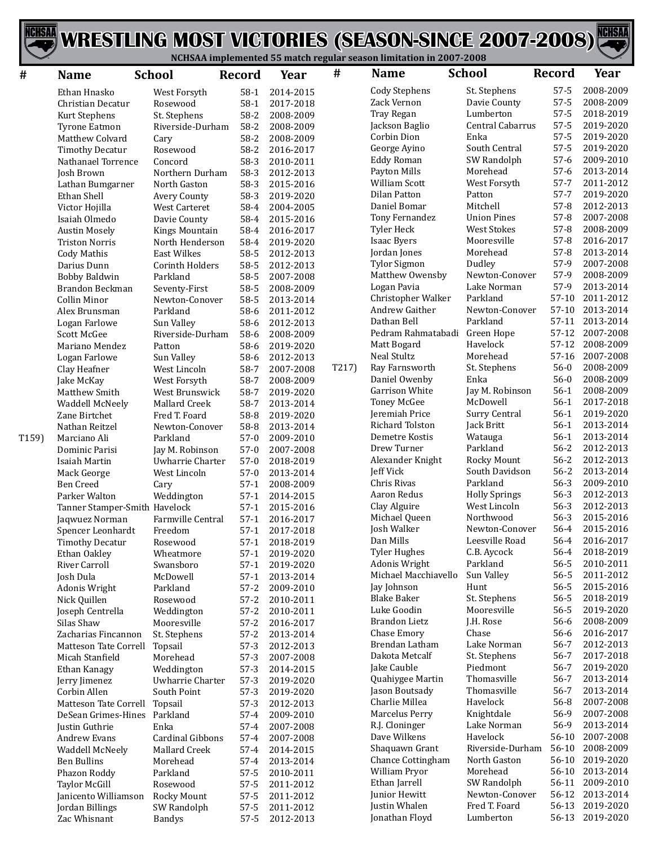



| #     | <b>Name</b>                                    | <b>School</b>                         | <b>Record</b>        | Year                   | #     | <b>Name</b>                    | <b>School</b>                  | <b>Record</b>      | Year                   |
|-------|------------------------------------------------|---------------------------------------|----------------------|------------------------|-------|--------------------------------|--------------------------------|--------------------|------------------------|
|       | Ethan Hnasko                                   | West Forsyth                          | $58-1$               | 2014-2015              |       | <b>Cody Stephens</b>           | St. Stephens                   | $57 - 5$           | 2008-2009              |
|       | Christian Decatur                              | Rosewood                              | $58-1$               | 2017-2018              |       | Zack Vernon                    | Davie County                   | $57 - 5$           | 2008-2009              |
|       | Kurt Stephens                                  | St. Stephens                          | $58-2$               | 2008-2009              |       | Tray Regan                     | Lumberton                      | $57 - 5$           | 2018-2019              |
|       | <b>Tyrone Eatmon</b>                           | Riverside-Durham                      | $58-2$               | 2008-2009              |       | Jackson Baglio                 | Central Cabarrus               | $57 - 5$           | 2019-2020              |
|       | Matthew Colvard                                | Cary                                  | $58-2$               | 2008-2009              |       | Corbin Dion                    | Enka                           | 57-5               | 2019-2020              |
|       | <b>Timothy Decatur</b>                         | Rosewood                              | $58-2$               | 2016-2017              |       | George Ayino                   | South Central                  | $57 - 5$           | 2019-2020              |
|       | Nathanael Torrence                             | Concord                               | 58-3                 | 2010-2011              |       | <b>Eddy Roman</b>              | SW Randolph                    | $57-6$             | 2009-2010              |
|       | Josh Brown                                     | Northern Durham                       | 58-3                 | 2012-2013              |       | Payton Mills                   | Morehead                       | $57-6$             | 2013-2014              |
|       | Lathan Bumgarner                               | North Gaston                          | 58-3                 | 2015-2016              |       | <b>William Scott</b>           | West Forsyth                   | $57 - 7$           | 2011-2012              |
|       | Ethan Shell                                    | Avery County                          | 58-3                 | 2019-2020              |       | Dilan Patton                   | Patton                         | $57 - 7$           | 2019-2020              |
|       | Victor Hojilla                                 | <b>West Carteret</b>                  | 58-4                 | 2004-2005              |       | Daniel Bomar                   | Mitchell<br><b>Union Pines</b> | $57-8$<br>$57-8$   | 2012-2013<br>2007-2008 |
|       | Isaiah Olmedo                                  | Davie County                          | 58-4                 | 2015-2016              |       | Tony Fernandez<br>Tyler Heck   | <b>West Stokes</b>             | $57-8$             | 2008-2009              |
|       | <b>Austin Mosely</b>                           | Kings Mountain                        | 58-4                 | 2016-2017              |       | <b>Isaac Byers</b>             | Mooresville                    | $57-8$             | 2016-2017              |
|       | <b>Triston Norris</b>                          | North Henderson<br><b>East Wilkes</b> | 58-4<br>58-5         | 2019-2020<br>2012-2013 |       | Jordan Jones                   | Morehead                       | $57-8$             | 2013-2014              |
|       | Cody Mathis<br>Darius Dunn                     | Corinth Holders                       | 58-5                 | 2012-2013              |       | <b>Tylor Sigmon</b>            | Dudley                         | 57-9               | 2007-2008              |
|       | <b>Bobby Baldwin</b>                           | Parkland                              | 58-5                 | 2007-2008              |       | Matthew Owensby                | Newton-Conover                 | 57-9               | 2008-2009              |
|       | Brandon Beckman                                | Seventy-First                         | $58 - 5$             | 2008-2009              |       | Logan Pavia                    | Lake Norman                    | 57-9               | 2013-2014              |
|       | <b>Collin Minor</b>                            | Newton-Conover                        | 58-5                 | 2013-2014              |       | Christopher Walker             | Parkland                       | $57-10$            | 2011-2012              |
|       | Alex Brunsman                                  | Parkland                              | 58-6                 | 2011-2012              |       | Andrew Gaither                 | Newton-Conover                 | $57-10$            | 2013-2014              |
|       | Logan Farlowe                                  | Sun Valley                            | 58-6                 | 2012-2013              |       | Dathan Bell                    | Parkland                       | $57-11$            | 2013-2014              |
|       | <b>Scott McGee</b>                             | Riverside-Durham                      | 58-6                 | 2008-2009              |       | Pedram Rahmatabadi             | Green Hope                     | $57-12$            | 2007-2008              |
|       | Mariano Mendez                                 | Patton                                | 58-6                 | 2019-2020              |       | Matt Bogard                    | Havelock                       | $57-12$            | 2008-2009              |
|       | Logan Farlowe                                  | Sun Valley                            | 58-6                 | 2012-2013              |       | <b>Neal Stultz</b>             | Morehead                       | $57-16$            | 2007-2008              |
|       | Clay Heafner                                   | West Lincoln                          | 58-7                 | 2007-2008              | T217) | Ray Farnsworth                 | St. Stephens                   | $56-0$             | 2008-2009              |
|       | Jake McKay                                     | West Forsyth                          | 58-7                 | 2008-2009              |       | Daniel Owenby                  | Enka                           | $56-0$             | 2008-2009              |
|       | Matthew Smith                                  | West Brunswick                        | 58-7                 | 2019-2020              |       | Garrison White                 | Jay M. Robinson                | $56-1$             | 2008-2009              |
|       | Waddell McNeely                                | Mallard Creek                         | 58-7                 | 2013-2014              |       | <b>Toney McGee</b>             | McDowell                       | $56-1$             | 2017-2018              |
|       | Zane Birtchet                                  | Fred T. Foard                         | 58-8                 | 2019-2020              |       | Jeremiah Price                 | Surry Central                  | $56-1$             | 2019-2020              |
|       | Nathan Reitzel                                 | Newton-Conover                        | 58-8                 | 2013-2014              |       | Richard Tolston                | Jack Britt                     | $56-1$             | 2013-2014              |
| T159) | Marciano Ali                                   | Parkland                              | $57-0$               | 2009-2010              |       | Demetre Kostis                 | Watauga                        | $56-1$             | 2013-2014              |
|       | Dominic Parisi                                 | Jay M. Robinson                       | $57-0$               | 2007-2008              |       | Drew Turner                    | Parkland                       | $56 - 2$           | 2012-2013              |
|       | Isaiah Martin                                  | Uwharrie Charter                      | $57-0$               | 2018-2019              |       | Alexander Knight               | Rocky Mount                    | $56 - 2$           | 2012-2013              |
|       | Mack George                                    | West Lincoln                          | $57-0$               | 2013-2014              |       | Jeff Vick<br>Chris Rivas       | South Davidson<br>Parkland     | $56 - 2$<br>$56-3$ | 2013-2014<br>2009-2010 |
|       | <b>Ben Creed</b>                               | Cary                                  | $57-1$               | 2008-2009              |       | Aaron Redus                    | <b>Holly Springs</b>           | $56-3$             | 2012-2013              |
|       | Parker Walton<br>Tanner Stamper-Smith Havelock | Weddington                            | $57-1$<br>$57-1$     | 2014-2015<br>2015-2016 |       | Clay Alguire                   | West Lincoln                   | $56-3$             | 2012-2013              |
|       | Jaqwuez Norman                                 | Farmville Central                     | $57-1$               | 2016-2017              |       | Michael Queen                  | Northwood                      | $56-3$             | 2015-2016              |
|       | Spencer Leonhardt                              | Freedom                               | $57-1$               | 2017-2018              |       | Josh Walker                    | Newton-Conover                 | 56-4               | 2015-2016              |
|       | Timothy Decatur                                | Rosewood                              | $57-1$               | 2018-2019              |       | Dan Mills                      | Leesville Road                 | 56-4               | 2016-2017              |
|       | Ethan Oakley                                   | Wheatmore                             | 57-1                 | 2019-2020              |       | <b>Tyler Hughes</b>            | C.B. Aycock                    | 56-4               | 2018-2019              |
|       | River Carroll                                  | Swansboro                             | $57-1$               | 2019-2020              |       | Adonis Wright                  | Parkland                       | $56 - 5$           | 2010-2011              |
|       | Josh Dula                                      | McDowell                              | $57-1$               | 2013-2014              |       | Michael Macchiavello           | Sun Valley                     | 56-5               | 2011-2012              |
|       | Adonis Wright                                  | Parkland                              | $57-2$               | 2009-2010              |       | Jay Johnson                    | Hunt                           | 56-5               | 2015-2016              |
|       | Nick Quillen                                   | Rosewood                              | $57-2$               | 2010-2011              |       | <b>Blake Baker</b>             | St. Stephens                   | 56-5               | 2018-2019              |
|       | Joseph Centrella                               | Weddington                            | $57-2$               | 2010-2011              |       | Luke Goodin                    | Mooresville                    | 56-5               | 2019-2020              |
|       | Silas Shaw                                     | Mooresville                           | $57-2$               | 2016-2017              |       | <b>Brandon Lietz</b>           | J.H. Rose                      | 56-6               | 2008-2009              |
|       | Zacharias Fincannon                            | St. Stephens                          | $57-2$               | 2013-2014              |       | Chase Emory                    | Chase                          | 56-6               | 2016-2017              |
|       | <b>Matteson Tate Correll</b>                   | Topsail                               | $57-3$               | 2012-2013              |       | Brendan Latham                 | Lake Norman                    | $56 - 7$           | 2012-2013              |
|       | Micah Stanfield                                | Morehead                              | $57-3$               | 2007-2008              |       | Dakota Metcalf                 | St. Stephens                   | $56 - 7$           | 2017-2018              |
|       | Ethan Kanagy                                   | Weddington                            | $57-3$               | 2014-2015              |       | Jake Cauble                    | Piedmont                       | $56 - 7$           | 2019-2020              |
|       | Jerry Jimenez                                  | Uwharrie Charter                      | $57-3$               | 2019-2020              |       | Quahiygee Martin               | Thomasville                    | $56 - 7$           | 2013-2014              |
|       | Corbin Allen                                   | South Point                           | $57-3$               | 2019-2020              |       | Jason Boutsady                 | Thomasville                    | $56 - 7$           | 2013-2014              |
|       | Matteson Tate Correll                          | Topsail                               | $57-3$               | 2012-2013              |       | Charlie Millea                 | Havelock                       | 56-8               | 2007-2008              |
|       | DeSean Grimes-Hines                            | Parkland                              | $57 - 4$             | 2009-2010              |       | Marcelus Perry                 | Knightdale                     | 56-9               | 2007-2008              |
|       | Justin Guthrie                                 | Enka                                  | $57-4$               | 2007-2008              |       | R.J. Cloninger<br>Dave Wilkens | Lake Norman<br>Havelock        | 56-9<br>56-10      | 2013-2014<br>2007-2008 |
|       | Andrew Evans                                   | Cardinal Gibbons                      | $57 - 4$             | 2007-2008              |       | Shaquawn Grant                 | Riverside-Durham               | 56-10              | 2008-2009              |
|       | Waddell McNeely                                | Mallard Creek                         | $57 - 4$             | 2014-2015              |       | Chance Cottingham              | North Gaston                   | 56-10              | 2019-2020              |
|       | <b>Ben Bullins</b>                             | Morehead<br>Parkland                  | $57 - 4$<br>$57 - 5$ | 2013-2014              |       | William Pryor                  | Morehead                       | $56-10$            | 2013-2014              |
|       | Phazon Roddy<br>Taylor McGill                  | Rosewood                              | $57 - 5$             | 2010-2011<br>2011-2012 |       | Ethan Jarrell                  | SW Randolph                    |                    | 56-11 2009-2010        |
|       | Janicento Williamson                           | Rocky Mount                           | $57 - 5$             | 2011-2012              |       | Junior Hewitt                  | Newton-Conover                 |                    | 56-12 2013-2014        |
|       | Jordan Billings                                | SW Randolph                           | $57 - 5$             | 2011-2012              |       | Justin Whalen                  | Fred T. Foard                  |                    | 56-13 2019-2020        |
|       | Zac Whisnant                                   | Bandys                                | $57 - 5$             | 2012-2013              |       | Jonathan Floyd                 | Lumberton                      |                    | 56-13 2019-2020        |
|       |                                                |                                       |                      |                        |       |                                |                                |                    |                        |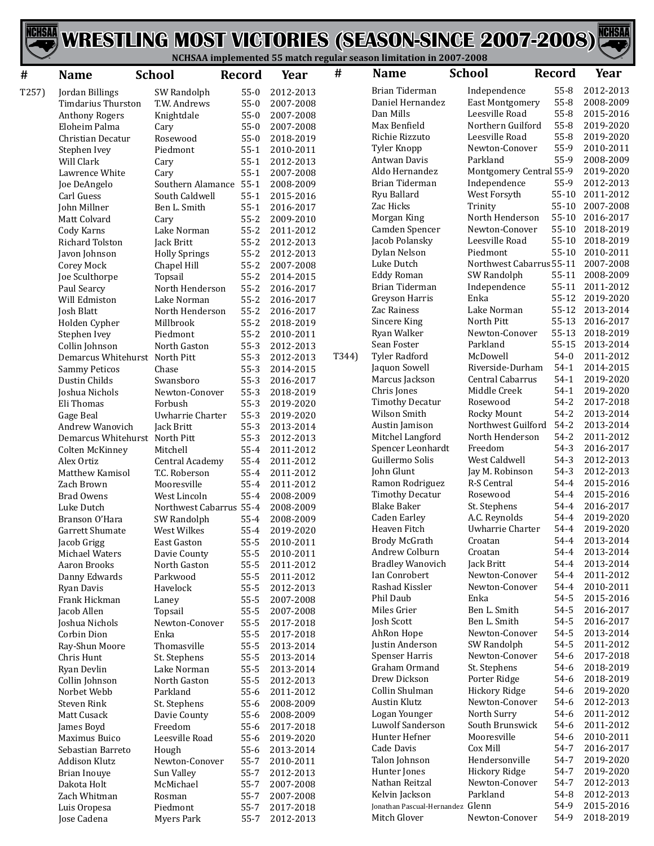

| #     | <b>Name</b>                                              | <b>School</b>           | <b>Record</b>        | Year                   | $\#$  | <b>Name</b>                        | <b>School</b>                     | <b>Record</b>     | Year                   |
|-------|----------------------------------------------------------|-------------------------|----------------------|------------------------|-------|------------------------------------|-----------------------------------|-------------------|------------------------|
| T257) | Jordan Billings                                          | SW Randolph             | $55-0$               | 2012-2013              |       | Brian Tiderman                     | Independence                      | 55-8              | 2012-2013              |
|       | Timdarius Thurston                                       | T.W. Andrews            | $55-0$               | 2007-2008              |       | Daniel Hernandez                   | <b>East Montgomery</b>            | 55-8              | 2008-2009              |
|       | <b>Anthony Rogers</b>                                    | Knightdale              | $55-0$               | 2007-2008              |       | Dan Mills                          | Leesville Road                    | 55-8              | 2015-2016              |
|       | Eloheim Palma                                            | Cary                    | $55-0$               | 2007-2008              |       | Max Benfield                       | Northern Guilford                 | $55-8$            | 2019-2020              |
|       | Christian Decatur                                        | Rosewood                | $55-0$               | 2018-2019              |       | Richie Rizzuto                     | Leesville Road                    | 55-8              | 2019-2020              |
|       | Stephen Ivey                                             | Piedmont                | $55-1$               | 2010-2011              |       | Tyler Knopp                        | Newton-Conover                    | 55-9              | 2010-2011              |
|       | Will Clark                                               | Cary                    | $55-1$               | 2012-2013              |       | Antwan Davis                       | Parkland                          | 55-9              | 2008-2009              |
|       | Lawrence White                                           | Cary                    | $55-1$               | 2007-2008              |       | Aldo Hernandez                     | Montgomery Central 55-9           |                   | 2019-2020              |
|       | Joe DeAngelo                                             | Southern Alamance 55-1  |                      | 2008-2009              |       | Brian Tiderman                     | Independence                      | 55-9<br>$55 - 10$ | 2012-2013              |
|       | Carl Guess                                               | South Caldwell          | $55-1$               | 2015-2016              |       | Ryu Ballard<br>Zac Hicks           | West Forsyth                      | $55 - 10$         | 2011-2012<br>2007-2008 |
|       | John Millner                                             | Ben L. Smith            | $55-1$               | 2016-2017              |       | Morgan King                        | Trinity<br>North Henderson        | $55 - 10$         | 2016-2017              |
|       | Matt Colvard<br>Cody Karns                               | Cary<br>Lake Norman     | $55 - 2$<br>$55 - 2$ | 2009-2010<br>2011-2012 |       | Camden Spencer                     | Newton-Conover                    | $55 - 10$         | 2018-2019              |
|       | <b>Richard Tolston</b>                                   | Jack Britt              | $55 - 2$             | 2012-2013              |       | Jacob Polansky                     | Leesville Road                    | $55 - 10$         | 2018-2019              |
|       | Javon Johnson                                            | <b>Holly Springs</b>    | $55 - 2$             | 2012-2013              |       | Dylan Nelson                       | Piedmont                          | $55 - 10$         | 2010-2011              |
|       | Corey Mock                                               | Chapel Hill             | $55 - 2$             | 2007-2008              |       | Luke Dutch                         | Northwest Cabarrus 55-11          |                   | 2007-2008              |
|       | Joe Sculthorpe                                           | Topsail                 | $55 - 2$             | 2014-2015              |       | <b>Eddy Roman</b>                  | SW Randolph                       | 55-11             | 2008-2009              |
|       | Paul Searcy                                              | North Henderson         | $55 - 2$             | 2016-2017              |       | Brian Tiderman                     | Independence                      | 55-11             | 2011-2012              |
|       | Will Edmiston                                            | Lake Norman             | $55 - 2$             | 2016-2017              |       | Greyson Harris                     | Enka                              | 55-12             | 2019-2020              |
|       | Josh Blatt                                               | North Henderson         | $55 - 2$             | 2016-2017              |       | Zac Rainess                        | Lake Norman                       | $55 - 12$         | 2013-2014              |
|       | Holden Cypher                                            | Millbrook               | $55 - 2$             | 2018-2019              |       | Sincere King                       | North Pitt                        | 55-13             | 2016-2017              |
|       | Stephen Ivey                                             | Piedmont                | $55 - 2$             | 2010-2011              |       | Ryan Walker                        | Newton-Conover                    | 55-13             | 2018-2019              |
|       | Collin Johnson                                           | North Gaston            | $55-3$               | 2012-2013              |       | Sean Foster                        | Parkland                          | 55-15             | 2013-2014              |
|       | Demarcus Whitehurst North Pitt                           |                         | $55-3$               | 2012-2013              | T344) | <b>Tyler Radford</b>               | McDowell                          | $54-0$            | 2011-2012              |
|       | <b>Sammy Peticos</b>                                     | Chase                   | $55-3$               | 2014-2015              |       | Jaquon Sowell                      | Riverside-Durham                  | $54-1$            | 2014-2015              |
|       | Dustin Childs                                            | Swansboro               | $55-3$               | 2016-2017              |       | Marcus Jackson                     | Central Cabarrus                  | $54-1$            | 2019-2020              |
|       | Joshua Nichols                                           | Newton-Conover          | $55-3$               | 2018-2019              |       | Chris Jones                        | Middle Creek                      | $54-1$            | 2019-2020              |
|       | Eli Thomas                                               | Forbush                 | $55-3$               | 2019-2020              |       | <b>Timothy Decatur</b>             | Rosewood                          | $54 - 2$          | 2017-2018              |
|       | Gage Beal                                                | Uwharrie Charter        | $55-3$               | 2019-2020              |       | Wilson Smith                       | Rocky Mount<br>Northwest Guilford | $54-2$<br>$54-2$  | 2013-2014<br>2013-2014 |
|       | Andrew Wanovich                                          | Jack Britt              | $55-3$               | 2013-2014              |       | Austin Jamison<br>Mitchel Langford | North Henderson                   | $54 - 2$          | 2011-2012              |
|       | Demarcus Whitehurst North Pitt<br><b>Colten McKinney</b> | Mitchell                | $55-3$<br>$55 - 4$   | 2012-2013<br>2011-2012 |       | Spencer Leonhardt                  | Freedom                           | $54-3$            | 2016-2017              |
|       | Alex Ortiz                                               | Central Academy         | $55 - 4$             | 2011-2012              |       | Guillermo Solis                    | West Caldwell                     | $54-3$            | 2012-2013              |
|       | Matthew Kamisol                                          | T.C. Roberson           | $55 - 4$             | 2011-2012              |       | John Glunt                         | Jay M. Robinson                   | $54-3$            | 2012-2013              |
|       | Zach Brown                                               | Mooresville             | $55 - 4$             | 2011-2012              |       | Ramon Rodriguez                    | R-S Central                       | 54-4              | 2015-2016              |
|       | <b>Brad Owens</b>                                        | West Lincoln            | $55 - 4$             | 2008-2009              |       | <b>Timothy Decatur</b>             | Rosewood                          | 54-4              | 2015-2016              |
|       | Luke Dutch                                               | Northwest Cabarrus 55-4 |                      | 2008-2009              |       | <b>Blake Baker</b>                 | St. Stephens                      | 54-4              | 2016-2017              |
|       | Branson O'Hara                                           | SW Randolph             | $55 - 4$             | 2008-2009              |       | <b>Caden Earley</b>                | A.C. Reynolds                     | 54-4              | 2019-2020              |
|       | Garrett Shumate                                          | West Wilkes             | $55 - 4$             | 2019-2020              |       | Heaven Fitch                       | Uwharrie Charter                  | 54-4              | 2019-2020              |
|       | Jacob Grigg                                              | East Gaston             | $55 - 5$             | 2010-2011              |       | Brody McGrath                      | Croatan                           | 54-4              | 2013-2014              |
|       | Michael Waters                                           | Davie County            | $55 - 5$             | 2010-2011              |       | Andrew Colburn                     | Croatan                           | 54-4              | 2013-2014              |
|       | Aaron Brooks                                             | North Gaston            | $55 - 5$             | 2011-2012              |       | <b>Bradley Wanovich</b>            | Jack Britt                        | 54-4              | 2013-2014              |
|       | Danny Edwards                                            | Parkwood                | $55 - 5$             | 2011-2012              |       | Ian Conrobert                      | Newton-Conover                    | 54-4              | 2011-2012              |
|       | Ryan Davis                                               | Havelock                | $55 - 5$             | 2012-2013              |       | Rashad Kissler                     | Newton-Conover                    | 54-4              | 2010-2011              |
|       | Frank Hickman                                            | Laney                   | $55 - 5$             | 2007-2008              |       | Phil Daub<br>Miles Grier           | Enka<br>Ben L. Smith              | 54-5<br>54-5      | 2015-2016<br>2016-2017 |
|       | Jacob Allen                                              | Topsail                 | $55 - 5$             | 2007-2008              |       | Josh Scott                         | Ben L. Smith                      | 54-5              | 2016-2017              |
|       | Joshua Nichols<br>Corbin Dion                            | Newton-Conover<br>Enka  | $55 - 5$             | 2017-2018<br>2017-2018 |       | AhRon Hope                         | Newton-Conover                    | 54-5              | 2013-2014              |
|       | Ray-Shun Moore                                           | Thomasville             | $55 - 5$<br>$55 - 5$ | 2013-2014              |       | Justin Anderson                    | SW Randolph                       | 54-5              | 2011-2012              |
|       | Chris Hunt                                               | St. Stephens            | $55 - 5$             | 2013-2014              |       | <b>Spenser Harris</b>              | Newton-Conover                    | 54-6              | 2017-2018              |
|       | Ryan Devlin                                              | Lake Norman             | $55 - 5$             | 2013-2014              |       | Graham Ormand                      | St. Stephens                      | 54-6              | 2018-2019              |
|       | Collin Johnson                                           | North Gaston            | $55 - 5$             | 2012-2013              |       | Drew Dickson                       | Porter Ridge                      | 54-6              | 2018-2019              |
|       | Norbet Webb                                              | Parkland                | $55-6$               | 2011-2012              |       | Collin Shulman                     | Hickory Ridge                     | 54-6              | 2019-2020              |
|       | <b>Steven Rink</b>                                       | St. Stephens            | $55 - 6$             | 2008-2009              |       | <b>Austin Klutz</b>                | Newton-Conover                    | 54-6              | 2012-2013              |
|       | Matt Cusack                                              | Davie County            | $55-6$               | 2008-2009              |       | Logan Younger                      | North Surry                       | 54-6              | 2011-2012              |
|       | James Boyd                                               | Freedom                 | $55 - 6$             | 2017-2018              |       | Luwolf Sanderson                   | South Brunswick                   | 54-6              | 2011-2012              |
|       | Maximus Buico                                            | Leesville Road          | $55 - 6$             | 2019-2020              |       | Hunter Hefner                      | Mooresville                       | 54-6              | 2010-2011              |
|       | Sebastian Barreto                                        | Hough                   | $55-6$               | 2013-2014              |       | Cade Davis                         | Cox Mill                          | 54-7              | 2016-2017              |
|       | Addison Klutz                                            | Newton-Conover          | $55 - 7$             | 2010-2011              |       | Talon Johnson                      | Hendersonville                    | 54-7              | 2019-2020              |
|       | <b>Brian Inouye</b>                                      | Sun Valley              | $55 - 7$             | 2012-2013              |       | Hunter Jones                       | Hickory Ridge                     | 54-7              | 2019-2020              |
|       | Dakota Holt                                              | McMichael               | $55 - 7$             | 2007-2008              |       | Nathan Reitzal                     | Newton-Conover                    | 54-7              | 2012-2013              |
|       | Zach Whitman                                             | Rosman                  | $55 - 7$             | 2007-2008              |       | Kelvin Jackson                     | Parkland                          | 54-8              | 2012-2013              |
|       | Luis Oropesa                                             | Piedmont                | $55 - 7$             | 2017-2018              |       | Jonathan Pascual-Hernandez Glenn   |                                   | 54-9              | 2015-2016              |
|       | Jose Cadena                                              | Myers Park              | $55 - 7$             | 2012-2013              |       | Mitch Glover                       | Newton-Conover                    | 54-9              | 2018-2019              |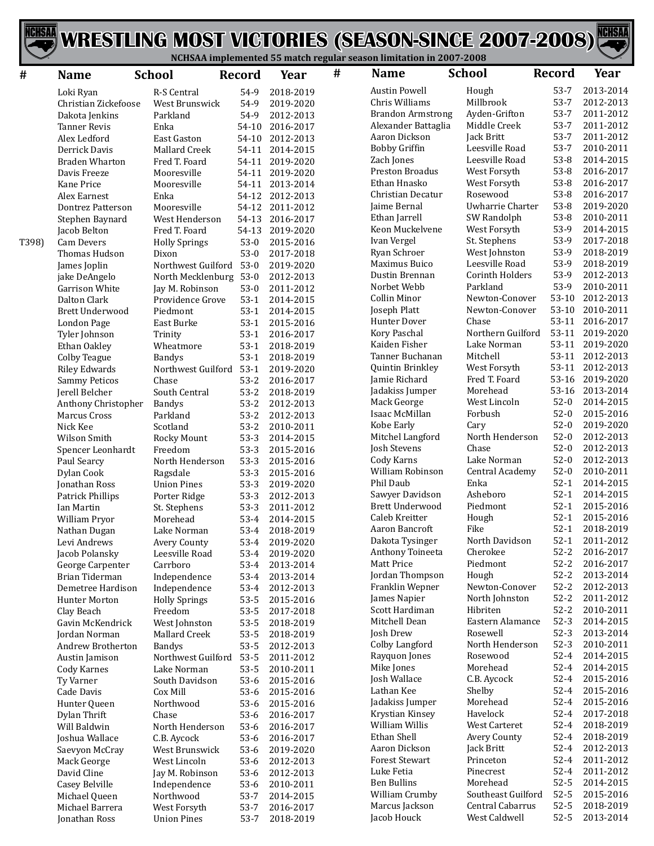

| #     | <b>Name</b>                          | <b>School</b>                  | Record           | Year                   | # | <b>Name</b>                            | <b>School</b>              | <b>Record</b>        | Year                   |
|-------|--------------------------------------|--------------------------------|------------------|------------------------|---|----------------------------------------|----------------------------|----------------------|------------------------|
|       | Loki Ryan                            | R-S Central                    | 54-9             | 2018-2019              |   | <b>Austin Powell</b>                   | Hough                      | $53-7$               | 2013-2014              |
|       | Christian Zickefoose                 | West Brunswick                 | 54-9             | 2019-2020              |   | Chris Williams                         | Millbrook                  | $53 - 7$             | 2012-2013              |
|       | Dakota Jenkins                       | Parkland                       | 54-9             | 2012-2013              |   | <b>Brandon Armstrong</b>               | Ayden-Grifton              | $53 - 7$             | 2011-2012              |
|       | <b>Tanner Revis</b>                  | Enka                           | 54-10            | 2016-2017              |   | Alexander Battaglia                    | Middle Creek               | $53 - 7$             | 2011-2012              |
|       | Alex Ledford                         | East Gaston                    | $54 - 10$        | 2012-2013              |   | Aaron Dickson                          | Jack Britt                 | $53-7$               | 2011-2012              |
|       | Derrick Davis                        | Mallard Creek                  | 54-11            | 2014-2015              |   | <b>Bobby Griffin</b>                   | Leesville Road             | $53 - 7$             | 2010-2011              |
|       | <b>Braden Wharton</b>                | Fred T. Foard                  | 54-11            | 2019-2020              |   | Zach Jones                             | Leesville Road             | $53 - 8$             | 2014-2015              |
|       | Davis Freeze                         | Mooresville                    | 54-11            | 2019-2020              |   | <b>Preston Broadus</b><br>Ethan Hnasko | West Forsyth               | $53 - 8$<br>$53 - 8$ | 2016-2017<br>2016-2017 |
|       | Kane Price                           | Mooresville                    | 54-11            | 2013-2014              |   | Christian Decatur                      | West Forsyth<br>Rosewood   | $53-8$               | 2016-2017              |
|       | Alex Earnest                         | Enka<br>Mooresville            | 54-12            | 2012-2013<br>2011-2012 |   | Jaime Bernal                           | Uwharrie Charter           | $53-8$               | 2019-2020              |
|       | Dontrez Patterson<br>Stephen Baynard | West Henderson                 | 54-12<br>54-13   | 2016-2017              |   | Ethan Jarrell                          | SW Randolph                | $53 - 8$             | 2010-2011              |
|       | Jacob Belton                         | Fred T. Foard                  | 54-13            | 2019-2020              |   | Keon Muckelvene                        | West Forsyth               | 53-9                 | 2014-2015              |
| T398) | Cam Devers                           | <b>Holly Springs</b>           | $53-0$           | 2015-2016              |   | Ivan Vergel                            | St. Stephens               | 53-9                 | 2017-2018              |
|       | Thomas Hudson                        | Dixon                          | $53-0$           | 2017-2018              |   | Ryan Schroer                           | West Johnston              | 53-9                 | 2018-2019              |
|       | James Joplin                         | Northwest Guilford 53-0        |                  | 2019-2020              |   | Maximus Buico                          | Leesville Road             | 53-9                 | 2018-2019              |
|       | jake DeAngelo                        | North Mecklenburg 53-0         |                  | 2012-2013              |   | Dustin Brennan                         | Corinth Holders            | 53-9                 | 2012-2013              |
|       | Garrison White                       | Jay M. Robinson                | $53-0$           | 2011-2012              |   | Norbet Webb                            | Parkland                   | 53-9                 | 2010-2011              |
|       | Dalton Clark                         | Providence Grove               | $53-1$           | 2014-2015              |   | Collin Minor                           | Newton-Conover             | 53-10                | 2012-2013              |
|       | <b>Brett Underwood</b>               | Piedmont                       | $53-1$           | 2014-2015              |   | Joseph Platt                           | Newton-Conover             | 53-10                | 2010-2011              |
|       | London Page                          | East Burke                     | $53-1$           | 2015-2016              |   | <b>Hunter Dover</b>                    | Chase                      | 53-11                | 2016-2017              |
|       | Tyler Johnson                        | Trinity                        | $53-1$           | 2016-2017              |   | Kory Paschal                           | Northern Guilford          | 53-11                | 2019-2020              |
|       | Ethan Oakley                         | Wheatmore                      | $53-1$           | 2018-2019              |   | Kaiden Fisher                          | Lake Norman                | 53-11                | 2019-2020              |
|       | Colby Teague                         | <b>Bandys</b>                  | $53-1$           | 2018-2019              |   | Tanner Buchanan                        | Mitchell                   | 53-11                | 2012-2013              |
|       | <b>Riley Edwards</b>                 | Northwest Guilford             | $53-1$           | 2019-2020              |   | Quintin Brinkley                       | West Forsyth               | 53-11                | 2012-2013              |
|       | <b>Sammy Peticos</b>                 | Chase                          | $53-2$           | 2016-2017              |   | Jamie Richard                          | Fred T. Foard              | 53-16                | 2019-2020              |
|       | Jerell Belcher                       | South Central                  | $53-2$           | 2018-2019              |   | Jadakiss Jumper                        | Morehead                   | 53-16                | 2013-2014              |
|       | Anthony Christopher                  | <b>Bandys</b>                  | $53-2$           | 2012-2013              |   | Mack George                            | West Lincoln               | $52-0$               | 2014-2015              |
|       | Marcus Cross                         | Parkland                       | $53-2$           | 2012-2013              |   | Isaac McMillan                         | Forbush                    | $52-0$               | 2015-2016              |
|       | Nick Kee                             | Scotland                       | $53-2$           | 2010-2011              |   | Kobe Early                             | Cary                       | $52-0$               | 2019-2020              |
|       | Wilson Smith                         | Rocky Mount                    | $53-3$           | 2014-2015              |   | Mitchel Langford                       | North Henderson<br>Chase   | $52-0$               | 2012-2013              |
|       | Spencer Leonhardt                    | Freedom                        | $53-3$           | 2015-2016              |   | Josh Stevens                           | Lake Norman                | $52-0$<br>$52-0$     | 2012-2013<br>2012-2013 |
|       | Paul Searcy                          | North Henderson                | $53-3$           | 2015-2016              |   | Cody Karns<br>William Robinson         | Central Academy            | $52-0$               | 2010-2011              |
|       | Dylan Cook                           | Ragsdale<br><b>Union Pines</b> | $53-3$           | 2015-2016              |   | Phil Daub                              | Enka                       | $52-1$               | 2014-2015              |
|       | Jonathan Ross<br>Patrick Phillips    | Porter Ridge                   | $53-3$<br>$53-3$ | 2019-2020<br>2012-2013 |   | Sawyer Davidson                        | Asheboro                   | $52-1$               | 2014-2015              |
|       | Ian Martin                           | St. Stephens                   | $53-3$           | 2011-2012              |   | Brett Underwood                        | Piedmont                   | $52-1$               | 2015-2016              |
|       | William Pryor                        | Morehead                       | $53-4$           | 2014-2015              |   | Caleb Kreitter                         | Hough                      | $52-1$               | 2015-2016              |
|       | Nathan Dugan                         | Lake Norman                    | $53-4$           | 2018-2019              |   | Aaron Bancroft                         | Fike                       | $52-1$               | 2018-2019              |
|       | Levi Andrews                         | Avery County                   | $53 - 4$         | 2019-2020              |   | Dakota Tysinger                        | North Davidson             | $52-1$               | 2011-2012              |
|       | Jacob Polansky                       | Leesville Road                 | 53-4             | 2019-2020              |   | Anthony Toineeta                       | Cherokee                   | $52-2$               | 2016-2017              |
|       | George Carpenter                     | Carrboro                       | $53-4$           | 2013-2014              |   | Matt Price                             | Piedmont                   | $52-2$               | 2016-2017              |
|       | Brian Tiderman                       | Independence                   | $53-4$           | 2013-2014              |   | Jordan Thompson                        | Hough                      | $52-2$               | 2013-2014              |
|       | Demetree Hardison                    | Independence                   | $53-4$           | 2012-2013              |   | Franklin Wepner                        | Newton-Conover             | $52 - 2$             | 2012-2013              |
|       | <b>Hunter Morton</b>                 | <b>Holly Springs</b>           | $53-5$           | 2015-2016              |   | James Napier                           | North Johnston             | $52 - 2$             | 2011-2012              |
|       | Clay Beach                           | Freedom                        | $53-5$           | 2017-2018              |   | Scott Hardiman                         | Hibriten                   | $52 - 2$             | 2010-2011              |
|       | Gavin McKendrick                     | West Johnston                  | $53 - 5$         | 2018-2019              |   | Mitchell Dean                          | Eastern Alamance           | $52-3$               | 2014-2015              |
|       | Jordan Norman                        | Mallard Creek                  | $53 - 5$         | 2018-2019              |   | Josh Drew                              | Rosewell                   | $52-3$               | 2013-2014              |
|       | Andrew Brotherton                    | <b>Bandys</b>                  | $53 - 5$         | 2012-2013              |   | Colby Langford                         | North Henderson            | $52-3$               | 2010-2011              |
|       | Austin Jamison                       | Northwest Guilford             | $53-5$           | 2011-2012              |   | Rayquon Jones                          | Rosewood                   | $52 - 4$             | 2014-2015              |
|       | <b>Cody Karnes</b>                   | Lake Norman                    | $53-5$           | 2010-2011              |   | Mike Jones                             | Morehead                   | $52 - 4$             | 2014-2015              |
|       | Ty Varner                            | South Davidson                 | $53-6$           | 2015-2016              |   | Josh Wallace                           | C.B. Aycock                | $52 - 4$             | 2015-2016              |
|       | Cade Davis                           | Cox Mill                       | $53-6$           | 2015-2016              |   | Lathan Kee                             | Shelby                     | $52 - 4$             | 2015-2016              |
|       | Hunter Queen                         | Northwood                      | $53-6$           | 2015-2016              |   | Jadakiss Jumper                        | Morehead                   | $52 - 4$             | 2015-2016              |
|       | Dylan Thrift                         | Chase                          | $53-6$           | 2016-2017              |   | Krystian Kinsey                        | Havelock                   | $52 - 4$             | 2017-2018              |
|       | Will Baldwin                         | North Henderson                | $53-6$           | 2016-2017              |   | William Willis                         | West Carteret              | $52 - 4$             | 2018-2019              |
|       | Joshua Wallace                       | C.B. Aycock                    | $53-6$           | 2016-2017              |   | Ethan Shell<br>Aaron Dickson           | Avery County<br>Jack Britt | $52 - 4$<br>$52 - 4$ | 2018-2019<br>2012-2013 |
|       | Saevyon McCray                       | West Brunswick                 | $53-6$           | 2019-2020              |   | <b>Forest Stewart</b>                  | Princeton                  | $52 - 4$             | 2011-2012              |
|       | Mack George                          | West Lincoln                   | $53-6$           | 2012-2013              |   | Luke Fetia                             | Pinecrest                  | $52 - 4$             | 2011-2012              |
|       | David Cline                          | Jay M. Robinson                | $53-6$           | 2012-2013              |   | <b>Ben Bullins</b>                     | Morehead                   | $52 - 5$             | 2014-2015              |
|       | Casey Belville<br>Michael Queen      | Independence<br>Northwood      | $53-6$<br>$53-7$ | 2010-2011<br>2014-2015 |   | William Crumby                         | Southeast Guilford         | $52 - 5$             | 2015-2016              |
|       | Michael Barrera                      | West Forsyth                   | $53-7$           | 2016-2017              |   | Marcus Jackson                         | Central Cabarrus           | $52 - 5$             | 2018-2019              |
|       | Jonathan Ross                        | <b>Union Pines</b>             | $53 - 7$         | 2018-2019              |   | Jacob Houck                            | West Caldwell              | $52 - 5$             | 2013-2014              |
|       |                                      |                                |                  |                        |   |                                        |                            |                      |                        |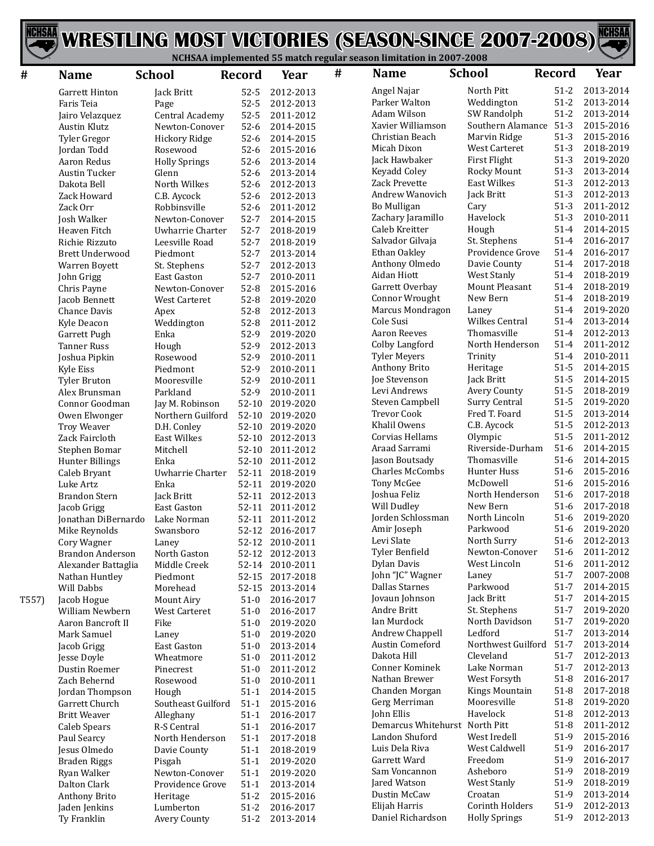



| #     | <b>Name</b>             | <b>School</b>        | <b>Record</b> | Year            | # | <b>Name</b>                    | <b>School</b>         | <b>Record</b> | Year      |
|-------|-------------------------|----------------------|---------------|-----------------|---|--------------------------------|-----------------------|---------------|-----------|
|       | Garrett Hinton          | Jack Britt           | $52 - 5$      | 2012-2013       |   | Angel Najar                    | North Pitt            | $51-2$        | 2013-2014 |
|       | Faris Teia              | Page                 | $52 - 5$      | 2012-2013       |   | Parker Walton                  | Weddington            | $51-2$        | 2013-2014 |
|       | Jairo Velazquez         | Central Academy      | $52 - 5$      | 2011-2012       |   | Adam Wilson                    | SW Randolph           | $51 - 2$      | 2013-2014 |
|       | <b>Austin Klutz</b>     | Newton-Conover       | $52-6$        | 2014-2015       |   | Xavier Williamson              | Southern Alamance     | $51-3$        | 2015-2016 |
|       | Tyler Gregor            | Hickory Ridge        | $52-6$        | 2014-2015       |   | Christian Beach                | Marvin Ridge          | $51-3$        | 2015-2016 |
|       | Jordan Todd             | Rosewood             | $52-6$        | 2015-2016       |   | Micah Dixon                    | West Carteret         | $51-3$        | 2018-2019 |
|       | Aaron Redus             | <b>Holly Springs</b> | $52-6$        | 2013-2014       |   | Jack Hawbaker                  | First Flight          | $51-3$        | 2019-2020 |
|       | <b>Austin Tucker</b>    | Glenn                | $52-6$        | 2013-2014       |   | Keyadd Coley                   | Rocky Mount           | $51-3$        | 2013-2014 |
|       | Dakota Bell             | North Wilkes         | $52-6$        | 2012-2013       |   | <b>Zack Prevette</b>           | <b>East Wilkes</b>    | $51-3$        | 2012-2013 |
|       | Zack Howard             | C.B. Aycock          | $52-6$        | 2012-2013       |   | Andrew Wanovich                | Jack Britt            | $51-3$        | 2012-2013 |
|       | Zack Orr                | Robbinsville         | $52-6$        | 2011-2012       |   | Bo Mulligan                    | Cary                  | $51-3$        | 2011-2012 |
|       | Josh Walker             | Newton-Conover       | $52 - 7$      | 2014-2015       |   | Zachary Jaramillo              | Havelock              | $51-3$        | 2010-2011 |
|       | Heaven Fitch            | Uwharrie Charter     | $52 - 7$      | 2018-2019       |   | Caleb Kreitter                 | Hough                 | $51 - 4$      | 2014-2015 |
|       | Richie Rizzuto          | Leesville Road       | $52 - 7$      | 2018-2019       |   | Salvador Gilvaja               | St. Stephens          | $51 - 4$      | 2016-2017 |
|       | <b>Brett Underwood</b>  | Piedmont             | $52 - 7$      | 2013-2014       |   | Ethan Oakley                   | Providence Grove      | $51 - 4$      | 2016-2017 |
|       | Warren Boyett           | St. Stephens         | $52 - 7$      | 2012-2013       |   | Anthony Olmedo                 | Davie County          | $51 - 4$      | 2017-2018 |
|       | John Grigg              | East Gaston          | $52-7$        | 2010-2011       |   | Aidan Hiott                    | <b>West Stanly</b>    | $51 - 4$      | 2018-2019 |
|       | Chris Payne             | Newton-Conover       | $52-8$        | 2015-2016       |   | Garrett Overbay                | <b>Mount Pleasant</b> | $51 - 4$      | 2018-2019 |
|       | Jacob Bennett           | <b>West Carteret</b> | $52-8$        | 2019-2020       |   | Connor Wrought                 | New Bern              | $51 - 4$      | 2018-2019 |
|       | <b>Chance Davis</b>     | Apex                 | $52-8$        | 2012-2013       |   | Marcus Mondragon               | Laney                 | $51 - 4$      | 2019-2020 |
|       | Kyle Deacon             | Weddington           | $52-8$        | 2011-2012       |   | Cole Susi                      | <b>Wilkes Central</b> | $51 - 4$      | 2013-2014 |
|       | Garrett Pugh            | Enka                 | 52-9          | 2019-2020       |   | <b>Aaron Reeves</b>            | Thomasville           | $51 - 4$      | 2012-2013 |
|       | <b>Tanner Russ</b>      | Hough                | 52-9          | 2012-2013       |   | Colby Langford                 | North Henderson       | $51 - 4$      | 2011-2012 |
|       | Joshua Pipkin           | Rosewood             | 52-9          | 2010-2011       |   | <b>Tyler Meyers</b>            | Trinity               | $51 - 4$      | 2010-2011 |
|       | Kyle Eiss               | Piedmont             | 52-9          | 2010-2011       |   | Anthony Brito                  | Heritage              | $51 - 5$      | 2014-2015 |
|       | <b>Tyler Bruton</b>     | Mooresville          | 52-9          | 2010-2011       |   | <b>Joe Stevenson</b>           | Jack Britt            | $51 - 5$      | 2014-2015 |
|       | Alex Brunsman           | Parkland             | 52-9          | 2010-2011       |   | Levi Andrews                   | Avery County          | $51 - 5$      | 2018-2019 |
|       | Connor Goodman          | Jay M. Robinson      | 52-10         | 2019-2020       |   | Steven Campbell                | Surry Central         | $51 - 5$      | 2019-2020 |
|       | Owen Elwonger           | Northern Guilford    |               | 52-10 2019-2020 |   | <b>Trevor Cook</b>             | Fred T. Foard         | $51 - 5$      | 2013-2014 |
|       | <b>Troy Weaver</b>      | D.H. Conley          | $52 - 10$     | 2019-2020       |   | Khalil Owens                   | C.B. Aycock           | $51 - 5$      | 2012-2013 |
|       | Zack Faircloth          | <b>East Wilkes</b>   | $52-10$       | 2012-2013       |   | Corvias Hellams                | Olympic               | $51 - 5$      | 2011-2012 |
|       | Stephen Bomar           | Mitchell             | $52-10$       | 2011-2012       |   | Araad Sarrami                  | Riverside-Durham      | $51-6$        | 2014-2015 |
|       | Hunter Billings         | Enka                 | $52-10$       | 2011-2012       |   | Jason Boutsady                 | Thomasville           | $51-6$        | 2014-2015 |
|       | Caleb Bryant            | Uwharrie Charter     |               | 52-11 2018-2019 |   | <b>Charles McCombs</b>         | Hunter Huss           | $51-6$        | 2015-2016 |
|       | Luke Artz               | Enka                 |               | 52-11 2019-2020 |   | Tony McGee                     | McDowell              | $51-6$        | 2015-2016 |
|       | <b>Brandon Stern</b>    | Jack Britt           | 52-11         | 2012-2013       |   | Joshua Feliz                   | North Henderson       | $51-6$        | 2017-2018 |
|       | Jacob Grigg             | East Gaston          |               | 52-11 2011-2012 |   | Will Dudley                    | New Bern              | $51-6$        | 2017-2018 |
|       | Jonathan DiBernardo     | Lake Norman          |               | 52-11 2011-2012 |   | Jorden Schlossman              | North Lincoln         | $51-6$        | 2019-2020 |
|       | Mike Reynolds           | Swansboro            |               | 52-12 2016-2017 |   | Amir Joseph                    | Parkwood              | $51-6$        | 2019-2020 |
|       | Cory Wagner             | Laney                |               | 52-12 2010-2011 |   | Levi Slate                     | North Surry           | $51-6$        | 2012-2013 |
|       | <b>Brandon Anderson</b> | North Gaston         |               | 52-12 2012-2013 |   | Tyler Benfield                 | Newton-Conover        | $51-6$        | 2011-2012 |
|       | Alexander Battaglia     | Middle Creek         |               | 52-14 2010-2011 |   | Dylan Davis                    | West Lincoln          | $51-6$        | 2011-2012 |
|       | Nathan Huntley          | Piedmont             |               | 52-15 2017-2018 |   | John "JC" Wagner               | Laney                 | $51 - 7$      | 2007-2008 |
|       | Will Dabbs              | Morehead             |               | 52-15 2013-2014 |   | Dallas Starnes                 | Parkwood              | $51-7$        | 2014-2015 |
| T557) | Jacob Hogue             | Mount Airy           | $51-0$        | 2016-2017       |   | Jovaun Johnson                 | Jack Britt            | $51 - 7$      | 2014-2015 |
|       | William Newbern         | West Carteret        | $51-0$        | 2016-2017       |   | Andre Britt                    | St. Stephens          | $51-7$        | 2019-2020 |
|       | Aaron Bancroft II       | Fike                 | $51-0$        | 2019-2020       |   | Ian Murdock                    | North Davidson        | $51-7$        | 2019-2020 |
|       | Mark Samuel             | Laney                | $51-0$        | 2019-2020       |   | Andrew Chappell                | Ledford               | $51 - 7$      | 2013-2014 |
|       | Jacob Grigg             | East Gaston          | $51-0$        | 2013-2014       |   | Austin Comeford                | Northwest Guilford    | $51-7$        | 2013-2014 |
|       | Jesse Doyle             | Wheatmore            | $51-0$        | 2011-2012       |   | Dakota Hill                    | Cleveland             | $51 - 7$      | 2012-2013 |
|       | Dustin Roemer           | Pinecrest            | $51-0$        | 2011-2012       |   | Conner Kominek                 | Lake Norman           | $51 - 7$      | 2012-2013 |
|       | Zach Behernd            | Rosewood             | $51-0$        | 2010-2011       |   | Nathan Brewer                  | West Forsyth          | $51 - 8$      | 2016-2017 |
|       | Jordan Thompson         | Hough                | $51-1$        | 2014-2015       |   | Chanden Morgan                 | Kings Mountain        | $51-8$        | 2017-2018 |
|       | Garrett Church          | Southeast Guilford   | $51-1$        | 2015-2016       |   | Gerg Merriman                  | Mooresville           | $51-8$        | 2019-2020 |
|       | <b>Britt Weaver</b>     | Alleghany            | $51-1$        | 2016-2017       |   | John Ellis                     | Havelock              | $51-8$        | 2012-2013 |
|       | <b>Caleb Spears</b>     | R-S Central          | $51-1$        | 2016-2017       |   | Demarcus Whitehurst North Pitt |                       | $51-8$        | 2011-2012 |
|       | Paul Searcy             | North Henderson      | $51-1$        | 2017-2018       |   | Landon Shuford                 | West Iredell          | 51-9          | 2015-2016 |
|       | Jesus Olmedo            | Davie County         | $51-1$        | 2018-2019       |   | Luis Dela Riva                 | West Caldwell         | 51-9          | 2016-2017 |
|       | <b>Braden Riggs</b>     | Pisgah               | $51-1$        | 2019-2020       |   | Garrett Ward                   | Freedom               | 51-9          | 2016-2017 |
|       | Ryan Walker             | Newton-Conover       | $51-1$        | 2019-2020       |   | Sam Voncannon                  | Asheboro              | 51-9          | 2018-2019 |
|       | Dalton Clark            | Providence Grove     | $51-1$        | 2013-2014       |   | Jared Watson                   | West Stanly           | 51-9          | 2018-2019 |
|       | Anthony Brito           | Heritage             | $51-2$        | 2015-2016       |   | Dustin McCaw                   | Croatan               | 51-9          | 2013-2014 |
|       | Jaden Jenkins           | Lumberton            | $51-2$        | 2016-2017       |   | Elijah Harris                  | Corinth Holders       | 51-9          | 2012-2013 |
|       | Ty Franklin             | Avery County         | $51-2$        | 2013-2014       |   | Daniel Richardson              | <b>Holly Springs</b>  | 51-9          | 2012-2013 |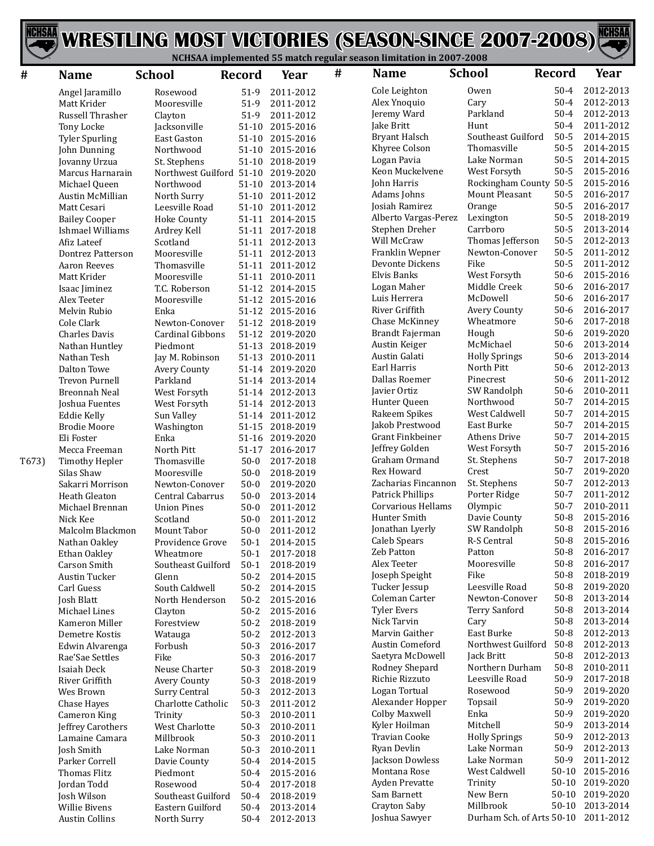



| #     | <b>Name</b>                         | <b>School</b>             | <b>Record</b>       | Year                   | # | <b>Name</b>                         | <b>School</b>               | <b>Record</b>        | Year                   |
|-------|-------------------------------------|---------------------------|---------------------|------------------------|---|-------------------------------------|-----------------------------|----------------------|------------------------|
|       | Angel Jaramillo                     | Rosewood                  | $51-9$              | 2011-2012              |   | Cole Leighton                       | Owen                        | $50 - 4$             | 2012-2013              |
|       | Matt Krider                         | Mooresville               | $51-9$              | 2011-2012              |   | Alex Ynoquio                        | Cary                        | $50 - 4$             | 2012-2013              |
|       | Russell Thrasher                    | Clayton                   | 51-9                | 2011-2012              |   | Jeremy Ward                         | Parkland                    | $50 - 4$             | 2012-2013              |
|       | Tony Locke                          | Jacksonville              | $51-10$             | 2015-2016              |   | Jake Britt                          | Hunt                        | $50 - 4$             | 2011-2012              |
|       | <b>Tyler Spurling</b>               | East Gaston               | $51-10$             | 2015-2016              |   | <b>Bryant Halsch</b>                | Southeast Guilford          | $50 - 5$             | 2014-2015              |
|       | John Dunning                        | Northwood                 | $51-10$             | 2015-2016              |   | Khyree Colson                       | Thomasville                 | $50 - 5$             | 2014-2015              |
|       | Jovanny Urzua                       | St. Stephens              | $51-10$             | 2018-2019              |   | Logan Pavia                         | Lake Norman                 | $50 - 5$             | 2014-2015              |
|       | Marcus Harnarain                    | Northwest Guilford 51-10  |                     | 2019-2020              |   | Keon Muckelvene                     | West Forsyth                | $50 - 5$             | 2015-2016              |
|       | Michael Queen                       | Northwood                 | $51-10$             | 2013-2014              |   | John Harris                         | Rockingham County           | $50 - 5$             | 2015-2016              |
|       | <b>Austin McMillian</b>             | North Surry               | $51-10$             | 2011-2012              |   | Adams Johns                         | Mount Pleasant              | $50 - 5$             | 2016-2017              |
|       | Matt Cesari                         | Leesville Road            | $51-10$             | 2011-2012              |   | Josiah Ramirez                      | Orange                      | $50 - 5$             | 2016-2017              |
|       | <b>Bailey Cooper</b>                | <b>Hoke County</b>        |                     | 51-11 2014-2015        |   | Alberto Vargas-Perez                | Lexington                   | $50 - 5$             | 2018-2019              |
|       | Ishmael Williams                    | Ardrey Kell               |                     | 51-11 2017-2018        |   | Stephen Dreher                      | Carrboro                    | $50 - 5$             | 2013-2014              |
|       | Afiz Lateef                         | Scotland                  |                     | 51-11 2012-2013        |   | Will McCraw                         | Thomas Jefferson            | $50 - 5$             | 2012-2013              |
|       | Dontrez Patterson                   | Mooresville               | $51 - 11$           | 2012-2013              |   | Franklin Wepner                     | Newton-Conover              | $50 - 5$             | 2011-2012              |
|       | <b>Aaron Reeves</b>                 | Thomasville               | $51 - 11$           | 2011-2012              |   | Devonte Dickens                     | Fike                        | $50 - 5$             | 2011-2012              |
|       | Matt Krider                         | Mooresville               | 51-11               | 2010-2011              |   | Elvis Banks                         | West Forsyth                | $50-6$               | 2015-2016              |
|       | Isaac Jiminez                       | T.C. Roberson             |                     | 51-12 2014-2015        |   | Logan Maher                         | Middle Creek                | $50-6$               | 2016-2017              |
|       | Alex Teeter                         | Mooresville               |                     | 51-12 2015-2016        |   | Luis Herrera                        | McDowell                    | $50-6$               | 2016-2017              |
|       | Melvin Rubio                        | Enka                      |                     | 51-12 2015-2016        |   | River Griffith                      | Avery County                | $50-6$               | 2016-2017              |
|       | Cole Clark                          | Newton-Conover            | $51-12$             | 2018-2019              |   | Chase McKinney                      | Wheatmore                   | $50-6$               | 2017-2018              |
|       | Charles Davis                       | Cardinal Gibbons          |                     | 51-12 2019-2020        |   | Brandt Fajerman                     | Hough                       | $50-6$               | 2019-2020              |
|       | Nathan Huntley                      | Piedmont                  |                     | 51-13 2018-2019        |   | Austin Keiger                       | McMichael                   | $50-6$               | 2013-2014              |
|       | Nathan Tesh                         | Jay M. Robinson           | 51-13               | 2010-2011              |   | Austin Galati                       | <b>Holly Springs</b>        | $50-6$               | 2013-2014              |
|       | Dalton Towe                         | Avery County              | $51 - 14$           | 2019-2020              |   | Earl Harris                         | North Pitt                  | $50-6$               | 2012-2013              |
|       | <b>Trevon Purnell</b>               | Parkland                  | $51 - 14$           | 2013-2014              |   | Dallas Roemer                       | Pinecrest                   | $50-6$               | 2011-2012              |
|       | <b>Breonnah Neal</b>                | West Forsyth              |                     | 51-14 2012-2013        |   | Javier Ortiz                        | SW Randolph                 | $50-6$               | 2010-2011              |
|       | Joshua Fuentes                      | West Forsyth              |                     | 51-14 2012-2013        |   | Hunter Queen                        | Northwood                   | $50 - 7$             | 2014-2015              |
|       | <b>Eddie Kelly</b>                  | Sun Valley                | $51 - 14$           | 2011-2012              |   | Rakeem Spikes                       | West Caldwell<br>East Burke | $50 - 7$<br>$50 - 7$ | 2014-2015<br>2014-2015 |
|       | <b>Brodie Moore</b>                 | Washington                | $51 - 15$           | 2018-2019              |   | Jakob Prestwood<br>Grant Finkbeiner | <b>Athens Drive</b>         | $50 - 7$             | 2014-2015              |
|       | Eli Foster                          | Enka                      | $51 - 16$           | 2019-2020              |   | Jeffrey Golden                      | West Forsyth                | $50-7$               | 2015-2016              |
|       | Mecca Freeman                       | North Pitt<br>Thomasville | $51 - 17$<br>$50-0$ | 2016-2017<br>2017-2018 |   | Graham Ormand                       | St. Stephens                | $50 - 7$             | 2017-2018              |
| T673) | <b>Timothy Hepler</b><br>Silas Shaw | Mooresville               | $50-0$              | 2018-2019              |   | <b>Rex Howard</b>                   | Crest                       | $50 - 7$             | 2019-2020              |
|       | Sakarri Morrison                    | Newton-Conover            | $50-0$              | 2019-2020              |   | Zacharias Fincannon                 | St. Stephens                | $50 - 7$             | 2012-2013              |
|       | Heath Gleaton                       | Central Cabarrus          | $50-0$              | 2013-2014              |   | Patrick Phillips                    | Porter Ridge                | $50 - 7$             | 2011-2012              |
|       | Michael Brennan                     | <b>Union Pines</b>        | $50 - 0$            | 2011-2012              |   | <b>Corvarious Hellams</b>           | Olympic                     | $50-7$               | 2010-2011              |
|       | Nick Kee                            | Scotland                  | $50-0$              | 2011-2012              |   | Hunter Smith                        | Davie County                | $50 - 8$             | 2015-2016              |
|       | Malcolm Blackmon                    | Mount Tabor               | $50 - 0$            | 2011-2012              |   | Jonathan Lyerly                     | SW Randolph                 | $50 - 8$             | 2015-2016              |
|       | Nathan Oakley                       | Providence Grove          | $50-1$              | 2014-2015              |   | Caleb Spears                        | R-S Central                 | $50 - 8$             | 2015-2016              |
|       | Ethan Oakley                        | Wheatmore                 | $50-1$              | 2017-2018              |   | Zeb Patton                          | Patton                      | $50 - 8$             | 2016-2017              |
|       | Carson Smith                        | Southeast Guilford        | $50-1$              | 2018-2019              |   | Alex Teeter                         | Mooresville                 | $50 - 8$             | 2016-2017              |
|       | <b>Austin Tucker</b>                | Glenn                     | $50 - 2$            | 2014-2015              |   | Joseph Speight                      | Fike                        | $50-8$               | 2018-2019              |
|       | Carl Guess                          | South Caldwell            | $50 - 2$            | 2014-2015              |   | Tucker Jessup                       | Leesville Road              | $50 - 8$             | 2019-2020              |
|       | Josh Blatt                          | North Henderson           | $50-2$              | 2015-2016              |   | Coleman Carter                      | Newton-Conover              | $50-8$               | 2013-2014              |
|       | Michael Lines                       | Clayton                   | $50-2$              | 2015-2016              |   | <b>Tyler Evers</b>                  | <b>Terry Sanford</b>        | $50 - 8$             | 2013-2014              |
|       | Kameron Miller                      | Forestview                | $50-2$              | 2018-2019              |   | Nick Tarvin                         | Cary                        | $50-8$               | 2013-2014              |
|       | Demetre Kostis                      | Watauga                   | $50-2$              | 2012-2013              |   | Marvin Gaither                      | East Burke                  | $50-8$               | 2012-2013              |
|       | Edwin Alvarenga                     | Forbush                   | $50-3$              | 2016-2017              |   | Austin Comeford                     | Northwest Guilford          | $50 - 8$             | 2012-2013              |
|       | Rae'Sae Settles                     | Fike                      | $50-3$              | 2016-2017              |   | Saetyra McDowell                    | Jack Britt                  | $50-8$               | 2012-2013              |
|       | Isaiah Deck                         | Neuse Charter             | $50-3$              | 2018-2019              |   | Rodney Shepard                      | Northern Durham             | $50 - 8$             | 2010-2011              |
|       | River Griffith                      | Avery County              | $50-3$              | 2018-2019              |   | Richie Rizzuto                      | Leesville Road              | $50-9$               | 2017-2018              |
|       | Wes Brown                           | <b>Surry Central</b>      | $50-3$              | 2012-2013              |   | Logan Tortual                       | Rosewood                    | $50-9$               | 2019-2020              |
|       | Chase Hayes                         | Charlotte Catholic        | $50-3$              | 2011-2012              |   | Alexander Hopper                    | Topsail                     | $50-9$               | 2019-2020              |
|       | <b>Cameron King</b>                 | Trinity                   | $50-3$              | 2010-2011              |   | Colby Maxwell                       | Enka                        | $50-9$               | 2019-2020              |
|       | Jeffrey Carothers                   | West Charlotte            | $50-3$              | 2010-2011              |   | Kyler Hoilman                       | Mitchell                    | $50-9$               | 2013-2014              |
|       | Lamaine Camara                      | Millbrook                 | $50-3$              | 2010-2011              |   | Travian Cooke                       | <b>Holly Springs</b>        | $50-9$               | 2012-2013              |
|       | Josh Smith                          | Lake Norman               | $50-3$              | 2010-2011              |   | Ryan Devlin                         | Lake Norman                 | $50-9$               | 2012-2013              |
|       | Parker Correll                      | Davie County              | $50 - 4$            | 2014-2015              |   | Jackson Dowless                     | Lake Norman                 | $50-9$               | 2011-2012              |
|       | <b>Thomas Flitz</b>                 | Piedmont                  | $50 - 4$            | 2015-2016              |   | Montana Rose                        | West Caldwell               | $50-10$              | 2015-2016              |
|       | Jordan Todd                         | Rosewood                  | $50 - 4$            | 2017-2018              |   | Ayden Prevatte                      | Trinity                     | $50-10$              | 2019-2020              |
|       | Josh Wilson                         | Southeast Guilford        | $50 - 4$            | 2018-2019              |   | Sam Barnett                         | New Bern                    |                      | 50-10 2019-2020        |
|       | <b>Willie Bivens</b>                | Eastern Guilford          | $50 - 4$            | 2013-2014              |   | Crayton Saby                        | Millbrook                   | $50-10$              | 2013-2014              |
|       | <b>Austin Collins</b>               | North Surry               | $50 - 4$            | 2012-2013              |   | Joshua Sawyer                       | Durham Sch. of Arts 50-10   |                      | 2011-2012              |